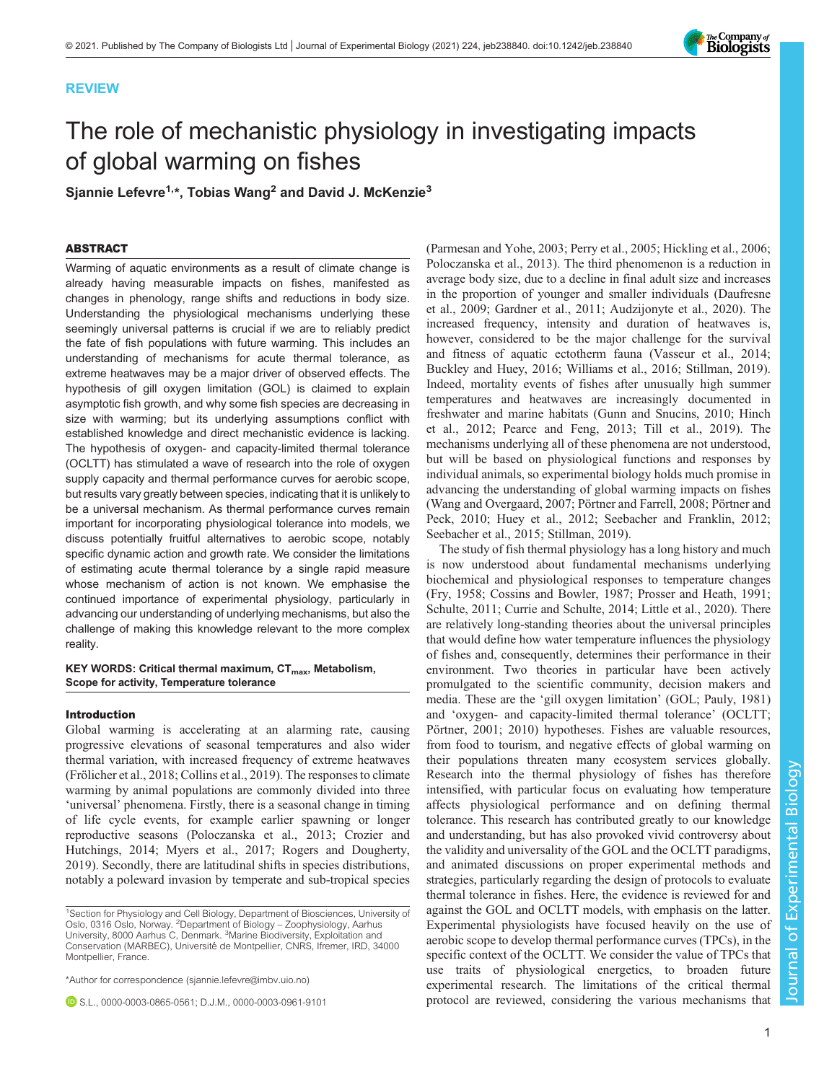# REVIEW



# The role of mechanistic physiology in investigating impacts of global warming on fishes

Sjannie Lefevre<sup>1,\*</sup>, Tobias Wang<sup>2</sup> and David J. McKenzie<sup>3</sup>

# ABSTRACT

Warming of aquatic environments as a result of climate change is already having measurable impacts on fishes, manifested as changes in phenology, range shifts and reductions in body size. Understanding the physiological mechanisms underlying these seemingly universal patterns is crucial if we are to reliably predict the fate of fish populations with future warming. This includes an understanding of mechanisms for acute thermal tolerance, as extreme heatwaves may be a major driver of observed effects. The hypothesis of gill oxygen limitation (GOL) is claimed to explain asymptotic fish growth, and why some fish species are decreasing in size with warming; but its underlying assumptions conflict with established knowledge and direct mechanistic evidence is lacking. The hypothesis of oxygen- and capacity-limited thermal tolerance (OCLTT) has stimulated a wave of research into the role of oxygen supply capacity and thermal performance curves for aerobic scope, but results vary greatly between species, indicating that it is unlikely to be a universal mechanism. As thermal performance curves remain important for incorporating physiological tolerance into models, we discuss potentially fruitful alternatives to aerobic scope, notably specific dynamic action and growth rate. We consider the limitations of estimating acute thermal tolerance by a single rapid measure whose mechanism of action is not known. We emphasise the continued importance of experimental physiology, particularly in advancing our understanding of underlying mechanisms, but also the challenge of making this knowledge relevant to the more complex reality.

### KEY WORDS: Critical thermal maximum,  $CT_{max}$ , Metabolism, Scope for activity, Temperature tolerance

#### Introduction

Global warming is accelerating at an alarming rate, causing progressive elevations of seasonal temperatures and also wider thermal variation, with increased frequency of extreme heatwaves [\(Frölicher et al., 2018; Collins et al., 2019\)](#page-9-0). The responses to climate warming by animal populations are commonly divided into three 'universal' phenomena. Firstly, there is a seasonal change in timing of life cycle events, for example earlier spawning or longer reproductive seasons ([Poloczanska et al., 2013](#page-11-0); [Crozier and](#page-9-0) [Hutchings, 2014;](#page-9-0) [Myers et al., 2017; Rogers and Dougherty,](#page-11-0) [2019](#page-11-0)). Secondly, there are latitudinal shifts in species distributions, notably a poleward invasion by temperate and sub-tropical species

\*Author for correspondence [\(sjannie.lefevre@imbv.uio.no](mailto:sjannie.lefevre@imbv.uio.no))

S.L., [0000-0003-0865-0561;](http://orcid.org/0000-0003-0865-0561) D.J.M., [0000-0003-0961-9101](http://orcid.org/0000-0003-0961-9101)

[\(Parmesan and Yohe, 2003; Perry et al., 2005;](#page-11-0) [Hickling et al., 2006](#page-9-0); [Poloczanska et al., 2013\)](#page-11-0). The third phenomenon is a reduction in average body size, due to a decline in final adult size and increases in the proportion of younger and smaller individuals ([Daufresne](#page-9-0) [et al., 2009](#page-9-0); [Gardner et al., 2011](#page-9-0); [Audzijonyte et al., 2020](#page-8-0)). The increased frequency, intensity and duration of heatwaves is, however, considered to be the major challenge for the survival and fitness of aquatic ectotherm fauna [\(Vasseur et al., 2014](#page-12-0); [Buckley and Huey, 2016](#page-8-0); [Williams et al., 2016; Stillman, 2019\)](#page-12-0). Indeed, mortality events of fishes after unusually high summer temperatures and heatwaves are increasingly documented in freshwater and marine habitats [\(Gunn and Snucins, 2010;](#page-9-0) [Hinch](#page-10-0) [et al., 2012](#page-10-0); [Pearce and Feng, 2013](#page-11-0); [Till et al., 2019](#page-12-0)). The mechanisms underlying all of these phenomena are not understood, but will be based on physiological functions and responses by individual animals, so experimental biology holds much promise in advancing the understanding of global warming impacts on fishes [\(Wang and Overgaard, 2007](#page-12-0); [Pörtner and Farrell, 2008](#page-11-0); [Pörtner and](#page-11-0) [Peck, 2010](#page-11-0); [Huey et al., 2012;](#page-10-0) [Seebacher and Franklin, 2012](#page-12-0); [Seebacher et al., 2015](#page-12-0); [Stillman, 2019\)](#page-12-0).

The study of fish thermal physiology has a long history and much is now understood about fundamental mechanisms underlying biochemical and physiological responses to temperature changes [\(Fry, 1958; Cossins and Bowler, 1987;](#page-9-0) [Prosser and Heath, 1991](#page-11-0); [Schulte, 2011](#page-12-0); [Currie and Schulte, 2014](#page-9-0); [Little et al., 2020](#page-10-0)). There are relatively long-standing theories about the universal principles that would define how water temperature influences the physiology of fishes and, consequently, determines their performance in their environment. Two theories in particular have been actively promulgated to the scientific community, decision makers and media. These are the 'gill oxygen limitation' (GOL; [Pauly, 1981\)](#page-11-0) and 'oxygen- and capacity-limited thermal tolerance' (OCLTT; [Pörtner, 2001](#page-11-0); [2010\)](#page-11-0) hypotheses. Fishes are valuable resources, from food to tourism, and negative effects of global warming on their populations threaten many ecosystem services globally. Research into the thermal physiology of fishes has therefore intensified, with particular focus on evaluating how temperature affects physiological performance and on defining thermal tolerance. This research has contributed greatly to our knowledge and understanding, but has also provoked vivid controversy about the validity and universality of the GOL and the OCLTT paradigms, and animated discussions on proper experimental methods and strategies, particularly regarding the design of protocols to evaluate thermal tolerance in fishes. Here, the evidence is reviewed for and against the GOL and OCLTT models, with emphasis on the latter. Experimental physiologists have focused heavily on the use of aerobic scope to develop thermal performance curves (TPCs), in the specific context of the OCLTT. We consider the value of TPCs that use traits of physiological energetics, to broaden future experimental research. The limitations of the critical thermal protocol are reviewed, considering the various mechanisms that

<sup>&</sup>lt;sup>1</sup>Section for Physiology and Cell Biology, Department of Biosciences, University of Oslo, 0316 Oslo, Norway. <sup>2</sup>Department of Biology – Zoophysiology, Aarhus<br>University, 8000 Aarhus C, Denmark. <sup>3</sup>Marine Biodiversity, Exploitation and Conservation (MARBEC), Université de Montpellier, CNRS, Ifremer, IRD, 34000 Montpellier, France.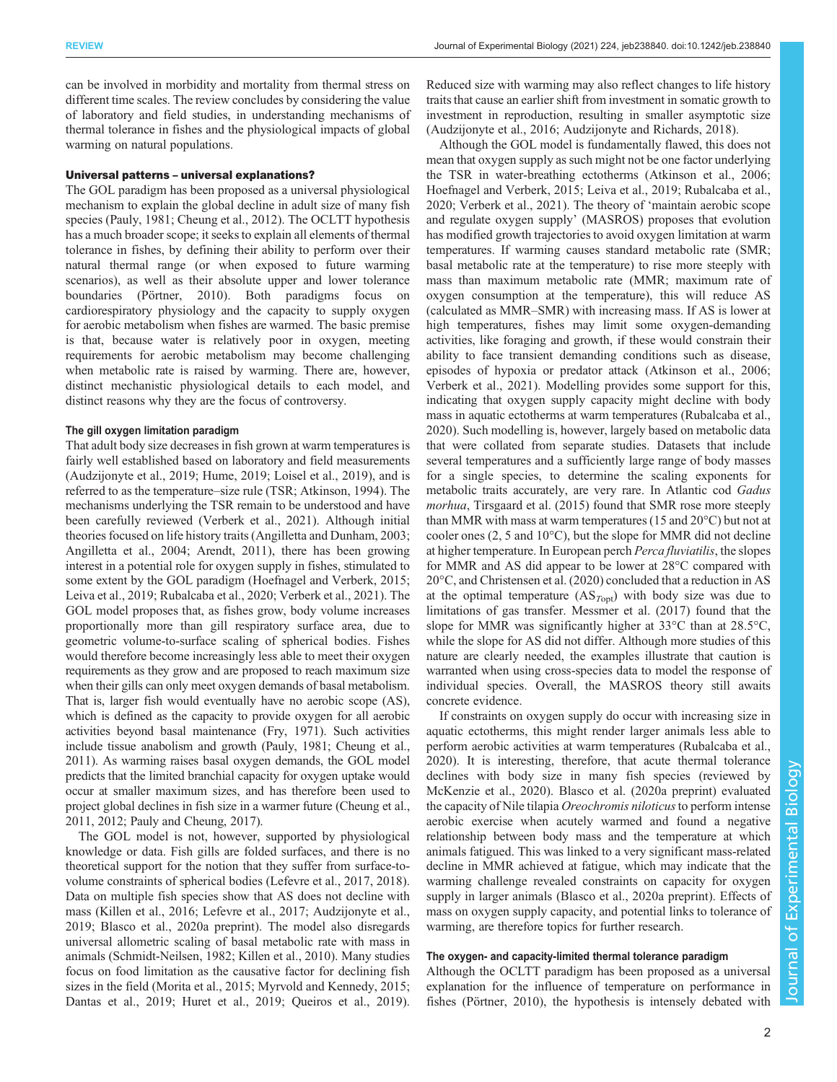can be involved in morbidity and mortality from thermal stress on different time scales. The review concludes by considering the value of laboratory and field studies, in understanding mechanisms of thermal tolerance in fishes and the physiological impacts of global warming on natural populations.

#### Universal patterns – universal explanations?

The GOL paradigm has been proposed as a universal physiological mechanism to explain the global decline in adult size of many fish species [\(Pauly, 1981](#page-11-0); [Cheung et al., 2012](#page-8-0)). The OCLTT hypothesis has a much broader scope; it seeks to explain all elements of thermal tolerance in fishes, by defining their ability to perform over their natural thermal range (or when exposed to future warming scenarios), as well as their absolute upper and lower tolerance boundaries [\(Pörtner, 2010](#page-11-0)). Both paradigms focus on cardiorespiratory physiology and the capacity to supply oxygen for aerobic metabolism when fishes are warmed. The basic premise is that, because water is relatively poor in oxygen, meeting requirements for aerobic metabolism may become challenging when metabolic rate is raised by warming. There are, however, distinct mechanistic physiological details to each model, and distinct reasons why they are the focus of controversy.

## The gill oxygen limitation paradigm

That adult body size decreases in fish grown at warm temperatures is fairly well established based on laboratory and field measurements [\(Audzijonyte et al., 2019;](#page-8-0) [Hume, 2019](#page-10-0); [Loisel et al., 2019](#page-10-0)), and is referred to as the temperature–size rule (TSR; [Atkinson, 1994\)](#page-8-0). The mechanisms underlying the TSR remain to be understood and have been carefully reviewed [\(Verberk et al., 2021\)](#page-12-0). Although initial theories focused on life history traits ([Angilletta and Dunham, 2003](#page-8-0); [Angilletta et al., 2004; Arendt, 2011\)](#page-8-0), there has been growing interest in a potential role for oxygen supply in fishes, stimulated to some extent by the GOL paradigm ([Hoefnagel and Verberk, 2015](#page-10-0); [Leiva et al., 2019](#page-10-0); [Rubalcaba et al., 2020;](#page-11-0) [Verberk et al., 2021\)](#page-12-0). The GOL model proposes that, as fishes grow, body volume increases proportionally more than gill respiratory surface area, due to geometric volume-to-surface scaling of spherical bodies. Fishes would therefore become increasingly less able to meet their oxygen requirements as they grow and are proposed to reach maximum size when their gills can only meet oxygen demands of basal metabolism. That is, larger fish would eventually have no aerobic scope (AS), which is defined as the capacity to provide oxygen for all aerobic activities beyond basal maintenance [\(Fry, 1971\)](#page-9-0). Such activities include tissue anabolism and growth [\(Pauly, 1981;](#page-11-0) [Cheung et al.,](#page-8-0) [2011\)](#page-8-0). As warming raises basal oxygen demands, the GOL model predicts that the limited branchial capacity for oxygen uptake would occur at smaller maximum sizes, and has therefore been used to project global declines in fish size in a warmer future ([Cheung et al.,](#page-8-0) [2011, 2012](#page-8-0); [Pauly and Cheung, 2017](#page-11-0)).

The GOL model is not, however, supported by physiological knowledge or data. Fish gills are folded surfaces, and there is no theoretical support for the notion that they suffer from surface-tovolume constraints of spherical bodies ([Lefevre et al., 2017, 2018\)](#page-10-0). Data on multiple fish species show that AS does not decline with mass ([Killen et al., 2016; Lefevre et al., 2017](#page-10-0); [Audzijonyte et al.,](#page-8-0) [2019](#page-8-0); [Blasco et al., 2020a](#page-8-0) preprint). The model also disregards universal allometric scaling of basal metabolic rate with mass in animals ([Schmidt-Neilsen, 1982;](#page-12-0) [Killen et al., 2010](#page-10-0)). Many studies focus on food limitation as the causative factor for declining fish sizes in the field [\(Morita et al., 2015; Myrvold and Kennedy, 2015](#page-11-0); [Dantas et al., 2019;](#page-9-0) [Huret et al., 2019](#page-10-0); [Queiros et al., 2019\)](#page-11-0).

Reduced size with warming may also reflect changes to life history traits that cause an earlier shift from investment in somatic growth to investment in reproduction, resulting in smaller asymptotic size [\(Audzijonyte et al., 2016; Audzijonyte and Richards, 2018](#page-8-0)).

Although the GOL model is fundamentally flawed, this does not mean that oxygen supply as such might not be one factor underlying the TSR in water-breathing ectotherms [\(Atkinson et al., 2006](#page-8-0); [Hoefnagel and Verberk, 2015; Leiva et al., 2019;](#page-10-0) [Rubalcaba et al.,](#page-11-0) [2020;](#page-11-0) [Verberk et al., 2021\)](#page-12-0). The theory of 'maintain aerobic scope and regulate oxygen supply' (MASROS) proposes that evolution has modified growth trajectories to avoid oxygen limitation at warm temperatures. If warming causes standard metabolic rate (SMR; basal metabolic rate at the temperature) to rise more steeply with mass than maximum metabolic rate (MMR; maximum rate of oxygen consumption at the temperature), this will reduce AS (calculated as MMR–SMR) with increasing mass. If AS is lower at high temperatures, fishes may limit some oxygen-demanding activities, like foraging and growth, if these would constrain their ability to face transient demanding conditions such as disease, episodes of hypoxia or predator attack [\(Atkinson et al., 2006](#page-8-0); [Verberk et al., 2021](#page-12-0)). Modelling provides some support for this, indicating that oxygen supply capacity might decline with body mass in aquatic ectotherms at warm temperatures [\(Rubalcaba et al.,](#page-11-0) [2020\)](#page-11-0). Such modelling is, however, largely based on metabolic data that were collated from separate studies. Datasets that include several temperatures and a sufficiently large range of body masses for a single species, to determine the scaling exponents for metabolic traits accurately, are very rare. In Atlantic cod Gadus morhua, [Tirsgaard et al. \(2015\)](#page-12-0) found that SMR rose more steeply than MMR with mass at warm temperatures (15 and 20°C) but not at cooler ones (2, 5 and 10°C), but the slope for MMR did not decline at higher temperature. In European perch Perca fluviatilis, the slopes for MMR and AS did appear to be lower at 28°C compared with 20°C, and Christensen et al. (2020) concluded that a reduction in AS at the optimal temperature  $(AS<sub>Topt</sub>)$  with body size was due to limitations of gas transfer. [Messmer et al. \(2017\)](#page-10-0) found that the slope for MMR was significantly higher at 33°C than at 28.5°C, while the slope for AS did not differ. Although more studies of this nature are clearly needed, the examples illustrate that caution is warranted when using cross-species data to model the response of individual species. Overall, the MASROS theory still awaits concrete evidence.

If constraints on oxygen supply do occur with increasing size in aquatic ectotherms, this might render larger animals less able to perform aerobic activities at warm temperatures ([Rubalcaba et al.,](#page-11-0) [2020\)](#page-11-0). It is interesting, therefore, that acute thermal tolerance declines with body size in many fish species (reviewed by [McKenzie et al., 2020\)](#page-10-0). [Blasco et al. \(2020a](#page-8-0) preprint) evaluated the capacity of Nile tilapia Oreochromis niloticus to perform intense aerobic exercise when acutely warmed and found a negative relationship between body mass and the temperature at which animals fatigued. This was linked to a very significant mass-related decline in MMR achieved at fatigue, which may indicate that the warming challenge revealed constraints on capacity for oxygen supply in larger animals [\(Blasco et al., 2020a](#page-8-0) preprint). Effects of mass on oxygen supply capacity, and potential links to tolerance of warming, are therefore topics for further research.

### The oxygen- and capacity-limited thermal tolerance paradigm

Although the OCLTT paradigm has been proposed as a universal explanation for the influence of temperature on performance in fishes [\(Pörtner, 2010\)](#page-11-0), the hypothesis is intensely debated with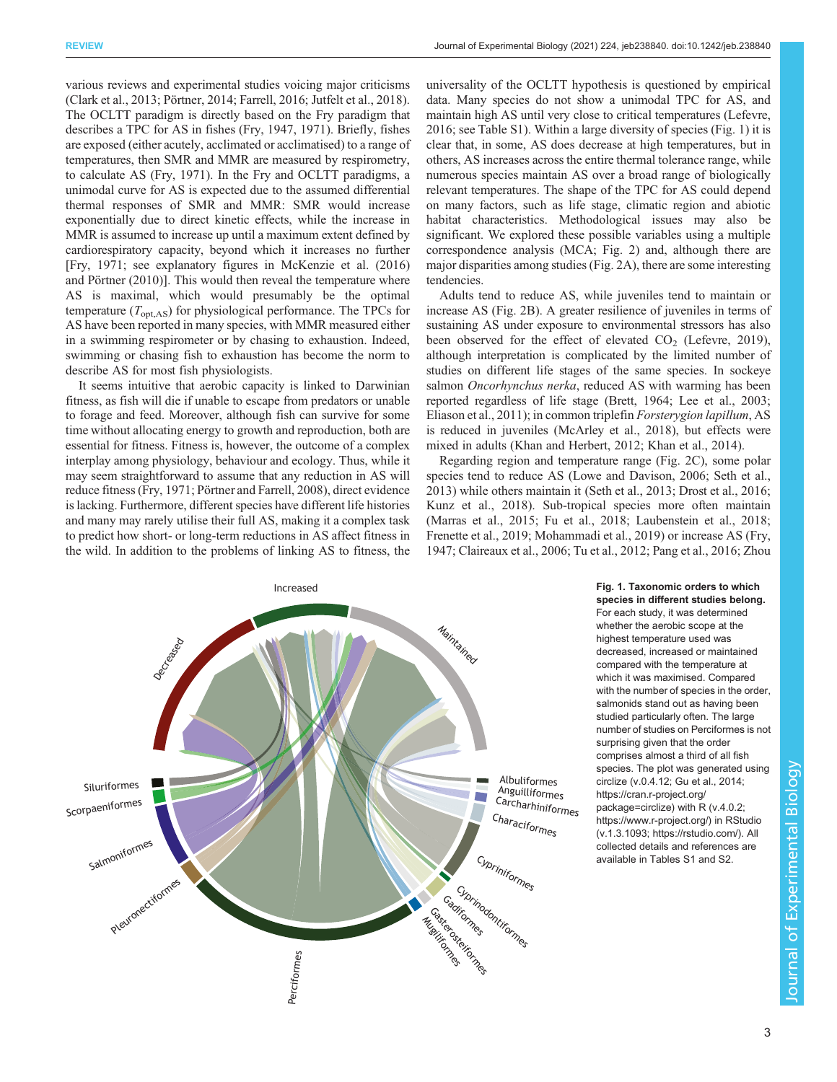<span id="page-2-0"></span>various reviews and experimental studies voicing major criticisms [\(Clark et al., 2013](#page-9-0); [Pörtner, 2014;](#page-11-0) [Farrell, 2016](#page-9-0); [Jutfelt et al., 2018\)](#page-10-0). The OCLTT paradigm is directly based on the Fry paradigm that describes a TPC for AS in fishes ([Fry, 1947, 1971\)](#page-9-0). Briefly, fishes are exposed (either acutely, acclimated or acclimatised) to a range of temperatures, then SMR and MMR are measured by respirometry, to calculate AS [\(Fry, 1971\)](#page-9-0). In the Fry and OCLTT paradigms, a unimodal curve for AS is expected due to the assumed differential thermal responses of SMR and MMR: SMR would increase exponentially due to direct kinetic effects, while the increase in MMR is assumed to increase up until a maximum extent defined by cardiorespiratory capacity, beyond which it increases no further [\[Fry, 1971](#page-9-0); see explanatory figures in [McKenzie et al. \(2016\)](#page-10-0) and Pörtner (2010)]. This would then reveal the temperature where AS is maximal, which would presumably be the optimal temperature  $(T_{opt,AS})$  for physiological performance. The TPCs for AS have been reported in many species, with MMR measured either in a swimming respirometer or by chasing to exhaustion. Indeed, swimming or chasing fish to exhaustion has become the norm to describe AS for most fish physiologists.

It seems intuitive that aerobic capacity is linked to Darwinian fitness, as fish will die if unable to escape from predators or unable to forage and feed. Moreover, although fish can survive for some time without allocating energy to growth and reproduction, both are essential for fitness. Fitness is, however, the outcome of a complex interplay among physiology, behaviour and ecology. Thus, while it may seem straightforward to assume that any reduction in AS will reduce fitness ([Fry, 1971;](#page-9-0) [Pörtner and Farrell, 2008](#page-11-0)), direct evidence is lacking. Furthermore, different species have different life histories and many may rarely utilise their full AS, making it a complex task to predict how short- or long-term reductions in AS affect fitness in the wild. In addition to the problems of linking AS to fitness, the universality of the OCLTT hypothesis is questioned by empirical data. Many species do not show a unimodal TPC for AS, and maintain high AS until very close to critical temperatures ([Lefevre,](#page-10-0) [2016;](#page-10-0) see [Table S1](http://jeb.biologists.org/lookup/doi/10.1242/jeb238840.supplemental)). Within a large diversity of species (Fig. 1) it is clear that, in some, AS does decrease at high temperatures, but in others, AS increases across the entire thermal tolerance range, while numerous species maintain AS over a broad range of biologically relevant temperatures. The shape of the TPC for AS could depend on many factors, such as life stage, climatic region and abiotic habitat characteristics. Methodological issues may also be significant. We explored these possible variables using a multiple correspondence analysis (MCA; [Fig. 2\)](#page-3-0) and, although there are major disparities among studies [\(Fig. 2A](#page-3-0)), there are some interesting tendencies.

Adults tend to reduce AS, while juveniles tend to maintain or increase AS ([Fig. 2](#page-3-0)B). A greater resilience of juveniles in terms of sustaining AS under exposure to environmental stressors has also been observed for the effect of elevated  $CO<sub>2</sub>$  [\(Lefevre, 2019\)](#page-10-0), although interpretation is complicated by the limited number of studies on different life stages of the same species. In sockeye salmon *Oncorhynchus nerka*, reduced AS with warming has been reported regardless of life stage [\(Brett, 1964;](#page-8-0) [Lee et al., 2003](#page-10-0); [Eliason et al., 2011\)](#page-9-0); in common triplefin Forsterygion lapillum, AS is reduced in juveniles [\(McArley et al., 2018\)](#page-10-0), but effects were mixed in adults [\(Khan and Herbert, 2012; Khan et al., 2014\)](#page-10-0).

Regarding region and temperature range [\(Fig. 2](#page-3-0)C), some polar species tend to reduce AS [\(Lowe and Davison, 2006;](#page-10-0) [Seth et al.,](#page-12-0) [2013\)](#page-12-0) while others maintain it [\(Seth et al., 2013;](#page-12-0) [Drost et al., 2016](#page-9-0); [Kunz et al., 2018](#page-10-0)). Sub-tropical species more often maintain [\(Marras et al., 2015;](#page-10-0) [Fu et al., 2018](#page-9-0); [Laubenstein et al., 2018](#page-10-0); [Frenette et al., 2019](#page-9-0); [Mohammadi et al., 2019](#page-11-0)) or increase AS ([Fry,](#page-9-0) [1947; Claireaux et al., 2006](#page-9-0); [Tu et al., 2012](#page-12-0); [Pang et al., 2016](#page-11-0); [Zhou](#page-12-0)



Fig. 1. Taxonomic orders to which species in different studies belong. For each study, it was determined whether the aerobic scope at the highest temperature used was decreased, increased or maintained compared with the temperature at which it was maximised. Compared with the number of species in the order, salmonids stand out as having been studied particularly often. The large number of studies on Perciformes is not surprising given that the order comprises almost a third of all fish species. The plot was generated using circlize (v.0.4.12; [Gu et al., 2014;](#page-9-0) [https://cran.r-project.org/](https://cran.r-project.org/package=circlize) [package=circlize](https://cran.r-project.org/package=circlize)) with R (v.4.0.2; <https://www.r-project.org/>) in RStudio (v.1.3.1093;<https://rstudio.com/>). All collected details and references are available in [Tables S1 and S2.](http://jeb.biologists.org/lookup/doi/10.1242/jeb238840.supplemental)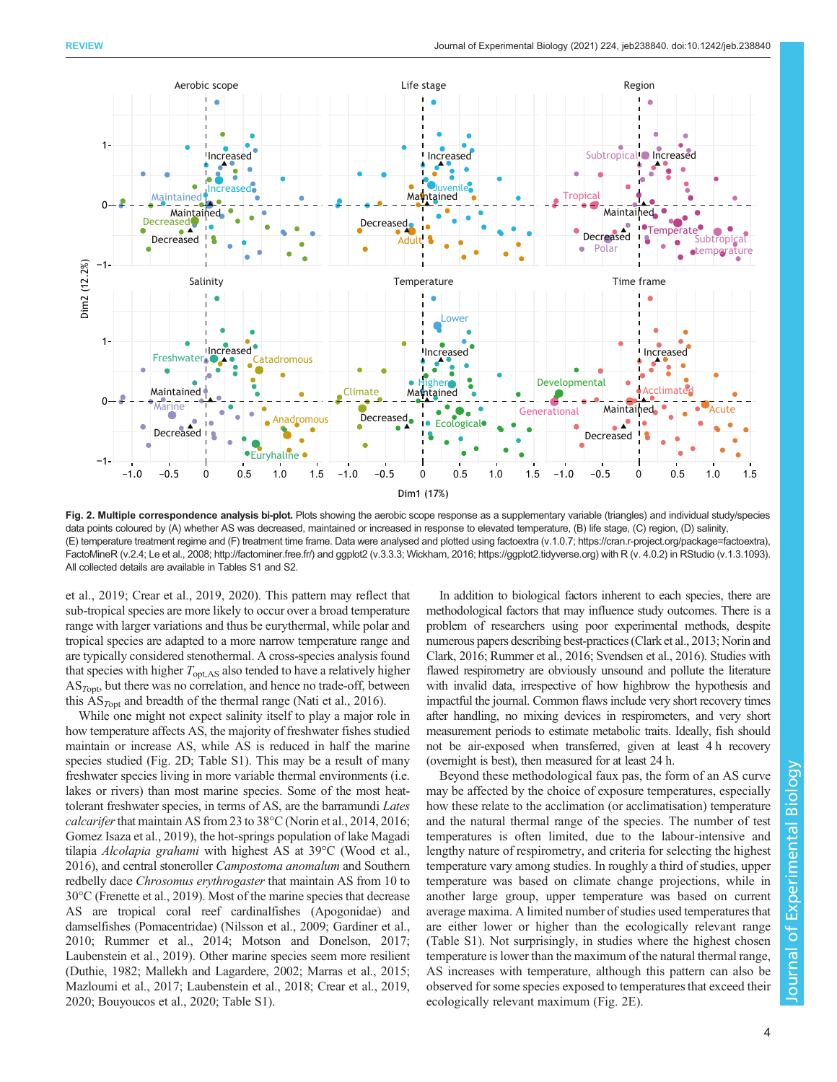<span id="page-3-0"></span>

Fig. 2. Multiple correspondence analysis bi-plot. Plots showing the aerobic scope response as a supplementary variable (triangles) and individual study/species data points coloured by (A) whether AS was decreased, maintained or increased in response to elevated temperature, (B) life stage, (C) region, (D) salinity, (E) temperature treatment regime and (F) treatment time frame. Data were analysed and plotted using factoextra (v.1.0.7; [https://cran.r-project.org/package=factoextra\)](https://cran.r-project.org/package=factoextra), FactoMineR (v.2.4; [Le et al., 2008](#page-10-0);<http://factominer.free.fr/>) and ggplot2 (v.3.3.3; [Wickham, 2016](#page-12-0); [https://ggplot2.tidyverse.org\)](https://ggplot2.tidyverse.org) with R (v. 4.0.2) in RStudio (v.1.3.1093). All collected details are available in [Tables S1 and S2](http://jeb.biologists.org/lookup/doi/10.1242/jeb238840.supplemental).

[et al., 2019](#page-12-0); [Crear et al., 2019](#page-9-0), [2020\)](#page-9-0). This pattern may reflect that sub-tropical species are more likely to occur over a broad temperature range with larger variations and thus be eurythermal, while polar and tropical species are adapted to a more narrow temperature range and are typically considered stenothermal. A cross-species analysis found that species with higher  $T_{opt,AS}$  also tended to have a relatively higher  $AS<sub>Topt</sub>$ , but there was no correlation, and hence no trade-off, between this  $AS<sub>Tont</sub>$  and breadth of the thermal range ([Nati et al., 2016\)](#page-11-0).

While one might not expect salinity itself to play a major role in how temperature affects AS, the majority of freshwater fishes studied maintain or increase AS, while AS is reduced in half the marine species studied (Fig. 2D; [Table S1\)](http://jeb.biologists.org/lookup/doi/10.1242/jeb238840.supplemental). This may be a result of many freshwater species living in more variable thermal environments (i.e. lakes or rivers) than most marine species. Some of the most heattolerant freshwater species, in terms of AS, are the barramundi Lates *calcarifer* that maintain AS from 23 to  $38^{\circ}$ C ([Norin et al., 2014, 2016](#page-11-0); [Gomez Isaza et al., 2019\)](#page-9-0), the hot-springs population of lake Magadi tilapia Alcolapia grahami with highest AS at 39°C [\(Wood et al.,](#page-12-0) [2016\)](#page-12-0), and central stoneroller Campostoma anomalum and Southern redbelly dace Chrosomus erythrogaster that maintain AS from 10 to 30°C [\(Frenette et al., 2019](#page-9-0)). Most of the marine species that decrease AS are tropical coral reef cardinalfishes (Apogonidae) and damselfishes (Pomacentridae) ([Nilsson et al., 2009](#page-11-0); [Gardiner et al.,](#page-9-0) [2010;](#page-9-0) [Rummer et al., 2014](#page-11-0); [Motson and Donelson, 2017](#page-11-0); [Laubenstein et al., 2019\)](#page-10-0). Other marine species seem more resilient [\(Duthie, 1982](#page-9-0); [Mallekh and Lagardere, 2002; Marras et al., 2015](#page-10-0); [Mazloumi et al., 2017](#page-10-0); [Laubenstein et al., 2018;](#page-10-0) [Crear et al., 2019,](#page-9-0) [2020;](#page-9-0) [Bouyoucos et al., 2020;](#page-8-0) [Table S1](http://jeb.biologists.org/lookup/doi/10.1242/jeb238840.supplemental)).

In addition to biological factors inherent to each species, there are methodological factors that may influence study outcomes. There is a problem of researchers using poor experimental methods, despite numerous papers describing best-practices ([Clark et al., 2013](#page-9-0); [Norin and](#page-11-0) [Clark, 2016](#page-11-0); [Rummer et al., 2016;](#page-11-0) [Svendsen et al., 2016](#page-12-0)). Studies with flawed respirometry are obviously unsound and pollute the literature with invalid data, irrespective of how highbrow the hypothesis and impactful the journal. Common flaws include very short recovery times after handling, no mixing devices in respirometers, and very short measurement periods to estimate metabolic traits. Ideally, fish should not be air-exposed when transferred, given at least 4 h recovery (overnight is best), then measured for at least 24 h.

Beyond these methodological faux pas, the form of an AS curve may be affected by the choice of exposure temperatures, especially how these relate to the acclimation (or acclimatisation) temperature and the natural thermal range of the species. The number of test temperatures is often limited, due to the labour-intensive and lengthy nature of respirometry, and criteria for selecting the highest temperature vary among studies. In roughly a third of studies, upper temperature was based on climate change projections, while in another large group, upper temperature was based on current average maxima. A limited number of studies used temperatures that are either lower or higher than the ecologically relevant range [\(Table S1\)](http://jeb.biologists.org/lookup/doi/10.1242/jeb238840.supplemental). Not surprisingly, in studies where the highest chosen temperature is lower than the maximum of the natural thermal range, AS increases with temperature, although this pattern can also be observed for some species exposed to temperatures that exceed their ecologically relevant maximum (Fig. 2E).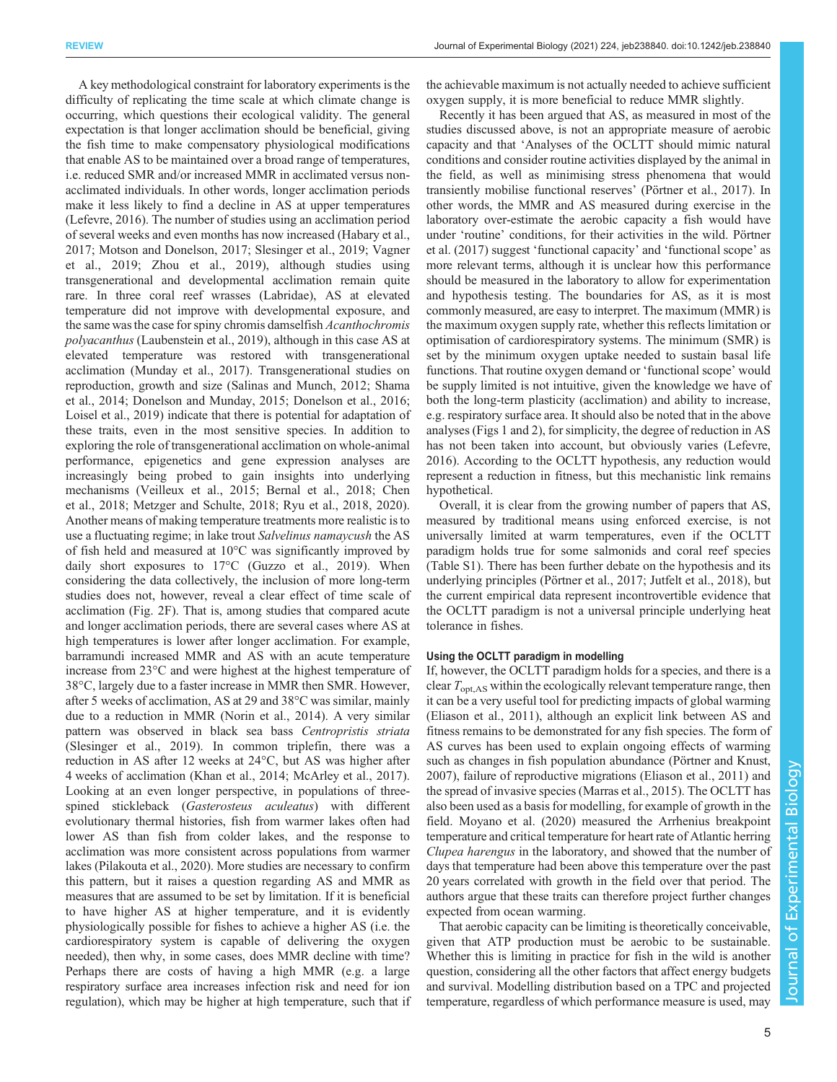A key methodological constraint for laboratory experiments is the difficulty of replicating the time scale at which climate change is occurring, which questions their ecological validity. The general expectation is that longer acclimation should be beneficial, giving the fish time to make compensatory physiological modifications that enable AS to be maintained over a broad range of temperatures, i.e. reduced SMR and/or increased MMR in acclimated versus nonacclimated individuals. In other words, longer acclimation periods make it less likely to find a decline in AS at upper temperatures [\(Lefevre, 2016\)](#page-10-0). The number of studies using an acclimation period of several weeks and even months has now increased [\(Habary et al.,](#page-9-0) [2017](#page-9-0); [Motson and Donelson, 2017](#page-11-0); [Slesinger et al., 2019](#page-12-0); [Vagner](#page-12-0) [et al., 2019; Zhou et al., 2019\)](#page-12-0), although studies using transgenerational and developmental acclimation remain quite rare. In three coral reef wrasses (Labridae), AS at elevated temperature did not improve with developmental exposure, and the same was the case for spiny chromis damselfish Acanthochromis polyacanthus [\(Laubenstein et al., 2019\)](#page-10-0), although in this case AS at elevated temperature was restored with transgenerational acclimation ([Munday et al., 2017\)](#page-11-0). Transgenerational studies on reproduction, growth and size [\(Salinas and Munch, 2012](#page-12-0); [Shama](#page-12-0) [et al., 2014](#page-12-0); [Donelson and Munday, 2015; Donelson et al., 2016](#page-9-0); [Loisel et al., 2019\)](#page-10-0) indicate that there is potential for adaptation of these traits, even in the most sensitive species. In addition to exploring the role of transgenerational acclimation on whole-animal performance, epigenetics and gene expression analyses are increasingly being probed to gain insights into underlying mechanisms ([Veilleux et al., 2015](#page-12-0); [Bernal et al., 2018](#page-8-0); [Chen](#page-8-0) [et al., 2018;](#page-8-0) [Metzger and Schulte, 2018](#page-11-0); [Ryu et al., 2018,](#page-11-0) [2020\)](#page-12-0). Another means of making temperature treatments more realistic is to use a fluctuating regime; in lake trout Salvelinus namaycush the AS of fish held and measured at 10°C was significantly improved by daily short exposures to 17<sup>o</sup>C ([Guzzo et al., 2019\)](#page-9-0). When considering the data collectively, the inclusion of more long-term studies does not, however, reveal a clear effect of time scale of acclimation ([Fig. 2](#page-3-0)F). That is, among studies that compared acute and longer acclimation periods, there are several cases where AS at high temperatures is lower after longer acclimation. For example, barramundi increased MMR and AS with an acute temperature increase from 23°C and were highest at the highest temperature of 38°C, largely due to a faster increase in MMR then SMR. However, after 5 weeks of acclimation, AS at 29 and 38°C was similar, mainly due to a reduction in MMR [\(Norin et al., 2014\)](#page-11-0). A very similar pattern was observed in black sea bass Centropristis striata [\(Slesinger et al., 2019](#page-12-0)). In common triplefin, there was a reduction in AS after 12 weeks at 24°C, but AS was higher after 4 weeks of acclimation ([Khan et al., 2014; McArley et al., 2017\)](#page-10-0). Looking at an even longer perspective, in populations of threespined stickleback (Gasterosteus aculeatus) with different evolutionary thermal histories, fish from warmer lakes often had lower AS than fish from colder lakes, and the response to acclimation was more consistent across populations from warmer lakes [\(Pilakouta et al., 2020](#page-11-0)). More studies are necessary to confirm this pattern, but it raises a question regarding AS and MMR as measures that are assumed to be set by limitation. If it is beneficial to have higher AS at higher temperature, and it is evidently physiologically possible for fishes to achieve a higher AS (i.e. the cardiorespiratory system is capable of delivering the oxygen needed), then why, in some cases, does MMR decline with time? Perhaps there are costs of having a high MMR (e.g. a large respiratory surface area increases infection risk and need for ion regulation), which may be higher at high temperature, such that if

the achievable maximum is not actually needed to achieve sufficient oxygen supply, it is more beneficial to reduce MMR slightly.

Recently it has been argued that AS, as measured in most of the studies discussed above, is not an appropriate measure of aerobic capacity and that 'Analyses of the OCLTT should mimic natural conditions and consider routine activities displayed by the animal in the field, as well as minimising stress phenomena that would transiently mobilise functional reserves' [\(Pörtner et al., 2017](#page-11-0)). In other words, the MMR and AS measured during exercise in the laboratory over-estimate the aerobic capacity a fish would have under 'routine' conditions, for their activities in the wild. [Pörtner](#page-11-0) [et al. \(2017\)](#page-11-0) suggest 'functional capacity' and 'functional scope' as more relevant terms, although it is unclear how this performance should be measured in the laboratory to allow for experimentation and hypothesis testing. The boundaries for AS, as it is most commonly measured, are easy to interpret. The maximum (MMR) is the maximum oxygen supply rate, whether this reflects limitation or optimisation of cardiorespiratory systems. The minimum (SMR) is set by the minimum oxygen uptake needed to sustain basal life functions. That routine oxygen demand or 'functional scope' would be supply limited is not intuitive, given the knowledge we have of both the long-term plasticity (acclimation) and ability to increase, e.g. respiratory surface area. It should also be noted that in the above analyses ([Figs 1](#page-2-0) and [2\)](#page-3-0), for simplicity, the degree of reduction in AS has not been taken into account, but obviously varies ([Lefevre,](#page-10-0) [2016\)](#page-10-0). According to the OCLTT hypothesis, any reduction would represent a reduction in fitness, but this mechanistic link remains hypothetical.

Overall, it is clear from the growing number of papers that AS, measured by traditional means using enforced exercise, is not universally limited at warm temperatures, even if the OCLTT paradigm holds true for some salmonids and coral reef species [\(Table S1\)](http://jeb.biologists.org/lookup/doi/10.1242/jeb238840.supplemental). There has been further debate on the hypothesis and its underlying principles [\(Pörtner et al., 2017](#page-11-0); [Jutfelt et al., 2018\)](#page-10-0), but the current empirical data represent incontrovertible evidence that the OCLTT paradigm is not a universal principle underlying heat tolerance in fishes.

## Using the OCLTT paradigm in modelling

If, however, the OCLTT paradigm holds for a species, and there is a clear  $T_{\text{opt,AS}}$  within the ecologically relevant temperature range, then it can be a very useful tool for predicting impacts of global warming [\(Eliason et al., 2011](#page-9-0)), although an explicit link between AS and fitness remains to be demonstrated for any fish species. The form of AS curves has been used to explain ongoing effects of warming such as changes in fish population abundance [\(Pörtner and Knust,](#page-11-0) [2007\)](#page-11-0), failure of reproductive migrations [\(Eliason et al., 2011\)](#page-9-0) and the spread of invasive species ([Marras et al., 2015\)](#page-10-0). The OCLTT has also been used as a basis for modelling, for example of growth in the field. [Moyano et al. \(2020\)](#page-11-0) measured the Arrhenius breakpoint temperature and critical temperature for heart rate of Atlantic herring Clupea harengus in the laboratory, and showed that the number of days that temperature had been above this temperature over the past 20 years correlated with growth in the field over that period. The authors argue that these traits can therefore project further changes expected from ocean warming.

That aerobic capacity can be limiting is theoretically conceivable, given that ATP production must be aerobic to be sustainable. Whether this is limiting in practice for fish in the wild is another question, considering all the other factors that affect energy budgets and survival. Modelling distribution based on a TPC and projected temperature, regardless of which performance measure is used, may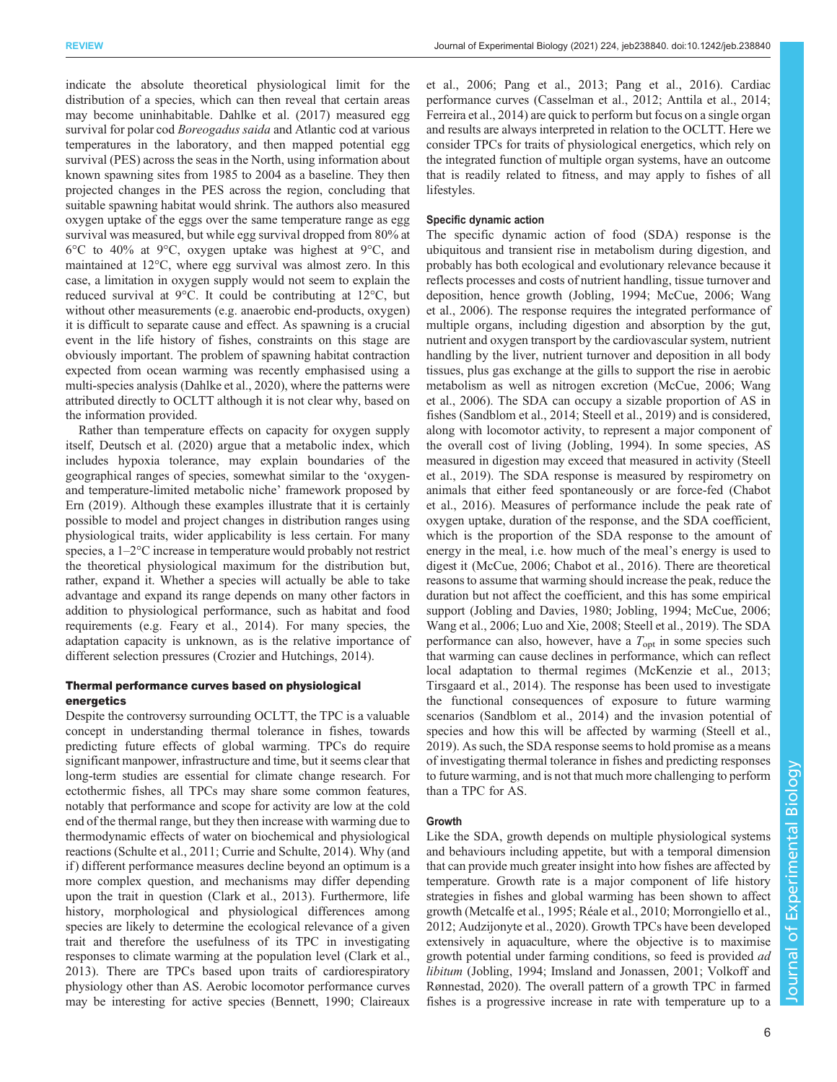indicate the absolute theoretical physiological limit for the distribution of a species, which can then reveal that certain areas may become uninhabitable. [Dahlke et al. \(2017\)](#page-9-0) measured egg survival for polar cod *Boreogadus saida* and Atlantic cod at various temperatures in the laboratory, and then mapped potential egg survival (PES) across the seas in the North, using information about known spawning sites from 1985 to 2004 as a baseline. They then projected changes in the PES across the region, concluding that suitable spawning habitat would shrink. The authors also measured oxygen uptake of the eggs over the same temperature range as egg survival was measured, but while egg survival dropped from 80% at 6°C to 40% at 9°C, oxygen uptake was highest at 9°C, and maintained at 12°C, where egg survival was almost zero. In this case, a limitation in oxygen supply would not seem to explain the reduced survival at 9°C. It could be contributing at 12°C, but without other measurements (e.g. anaerobic end-products, oxygen) it is difficult to separate cause and effect. As spawning is a crucial event in the life history of fishes, constraints on this stage are obviously important. The problem of spawning habitat contraction expected from ocean warming was recently emphasised using a multi-species analysis [\(Dahlke et al., 2020](#page-9-0)), where the patterns were attributed directly to OCLTT although it is not clear why, based on the information provided.

Rather than temperature effects on capacity for oxygen supply itself, [Deutsch et al. \(2020\)](#page-9-0) argue that a metabolic index, which includes hypoxia tolerance, may explain boundaries of the geographical ranges of species, somewhat similar to the 'oxygenand temperature-limited metabolic niche' framework proposed by [Ern \(2019\)](#page-9-0). Although these examples illustrate that it is certainly possible to model and project changes in distribution ranges using physiological traits, wider applicability is less certain. For many species, a 1–2°C increase in temperature would probably not restrict the theoretical physiological maximum for the distribution but, rather, expand it. Whether a species will actually be able to take advantage and expand its range depends on many other factors in addition to physiological performance, such as habitat and food requirements (e.g. [Feary et al., 2014](#page-9-0)). For many species, the adaptation capacity is unknown, as is the relative importance of different selection pressures [\(Crozier and Hutchings, 2014\)](#page-9-0).

## Thermal performance curves based on physiological energetics

Despite the controversy surrounding OCLTT, the TPC is a valuable concept in understanding thermal tolerance in fishes, towards predicting future effects of global warming. TPCs do require significant manpower, infrastructure and time, but it seems clear that long-term studies are essential for climate change research. For ectothermic fishes, all TPCs may share some common features, notably that performance and scope for activity are low at the cold end of the thermal range, but they then increase with warming due to thermodynamic effects of water on biochemical and physiological reactions ([Schulte et al., 2011;](#page-12-0) [Currie and Schulte, 2014\)](#page-9-0). Why (and if ) different performance measures decline beyond an optimum is a more complex question, and mechanisms may differ depending upon the trait in question [\(Clark et al., 2013](#page-9-0)). Furthermore, life history, morphological and physiological differences among species are likely to determine the ecological relevance of a given trait and therefore the usefulness of its TPC in investigating responses to climate warming at the population level [\(Clark et al.,](#page-9-0) [2013](#page-9-0)). There are TPCs based upon traits of cardiorespiratory physiology other than AS. Aerobic locomotor performance curves may be interesting for active species ([Bennett, 1990;](#page-8-0) [Claireaux](#page-9-0)

[et al., 2006;](#page-9-0) [Pang et al., 2013](#page-11-0); [Pang et al., 2016\)](#page-11-0). Cardiac performance curves ([Casselman et al., 2012; Anttila et al., 2014](#page-8-0); [Ferreira et al., 2014](#page-9-0)) are quick to perform but focus on a single organ and results are always interpreted in relation to the OCLTT. Here we consider TPCs for traits of physiological energetics, which rely on the integrated function of multiple organ systems, have an outcome that is readily related to fitness, and may apply to fishes of all lifestyles.

## Specific dynamic action

The specific dynamic action of food (SDA) response is the ubiquitous and transient rise in metabolism during digestion, and probably has both ecological and evolutionary relevance because it reflects processes and costs of nutrient handling, tissue turnover and deposition, hence growth [\(Jobling, 1994](#page-10-0); [McCue, 2006;](#page-10-0) [Wang](#page-12-0) [et al., 2006\)](#page-12-0). The response requires the integrated performance of multiple organs, including digestion and absorption by the gut, nutrient and oxygen transport by the cardiovascular system, nutrient handling by the liver, nutrient turnover and deposition in all body tissues, plus gas exchange at the gills to support the rise in aerobic metabolism as well as nitrogen excretion ([McCue, 2006](#page-10-0); [Wang](#page-12-0) [et al., 2006\)](#page-12-0). The SDA can occupy a sizable proportion of AS in fishes [\(Sandblom et al., 2014](#page-12-0); [Steell et al., 2019](#page-12-0)) and is considered, along with locomotor activity, to represent a major component of the overall cost of living [\(Jobling, 1994\)](#page-10-0). In some species, AS measured in digestion may exceed that measured in activity ([Steell](#page-12-0) [et al., 2019](#page-12-0)). The SDA response is measured by respirometry on animals that either feed spontaneously or are force-fed ([Chabot](#page-8-0) [et al., 2016](#page-8-0)). Measures of performance include the peak rate of oxygen uptake, duration of the response, and the SDA coefficient, which is the proportion of the SDA response to the amount of energy in the meal, i.e. how much of the meal's energy is used to digest it [\(McCue, 2006](#page-10-0); [Chabot et al., 2016](#page-8-0)). There are theoretical reasons to assume that warming should increase the peak, reduce the duration but not affect the coefficient, and this has some empirical support [\(Jobling and Davies, 1980](#page-10-0); [Jobling, 1994](#page-10-0); [McCue, 2006](#page-10-0); [Wang et al., 2006](#page-12-0); [Luo and Xie, 2008;](#page-10-0) [Steell et al., 2019\)](#page-12-0). The SDA performance can also, however, have a  $T_{opt}$  in some species such that warming can cause declines in performance, which can reflect local adaptation to thermal regimes [\(McKenzie et al., 2013](#page-10-0); [Tirsgaard et al., 2014](#page-12-0)). The response has been used to investigate the functional consequences of exposure to future warming scenarios [\(Sandblom et al., 2014](#page-12-0)) and the invasion potential of species and how this will be affected by warming ([Steell et al.,](#page-12-0) [2019\)](#page-12-0). As such, the SDA response seems to hold promise as a means of investigating thermal tolerance in fishes and predicting responses to future warming, and is not that much more challenging to perform than a TPC for AS.

### Growth

Like the SDA, growth depends on multiple physiological systems and behaviours including appetite, but with a temporal dimension that can provide much greater insight into how fishes are affected by temperature. Growth rate is a major component of life history strategies in fishes and global warming has been shown to affect growth [\(Metcalfe et al., 1995](#page-10-0); [Réale et al., 2010; Morrongiello et al.,](#page-11-0) [2012;](#page-11-0) [Audzijonyte et al., 2020](#page-8-0)). Growth TPCs have been developed extensively in aquaculture, where the objective is to maximise growth potential under farming conditions, so feed is provided ad libitum ([Jobling, 1994](#page-10-0); [Imsland and Jonassen, 2001;](#page-10-0) [Volkoff and](#page-12-0) [Rønnestad, 2020](#page-12-0)). The overall pattern of a growth TPC in farmed fishes is a progressive increase in rate with temperature up to a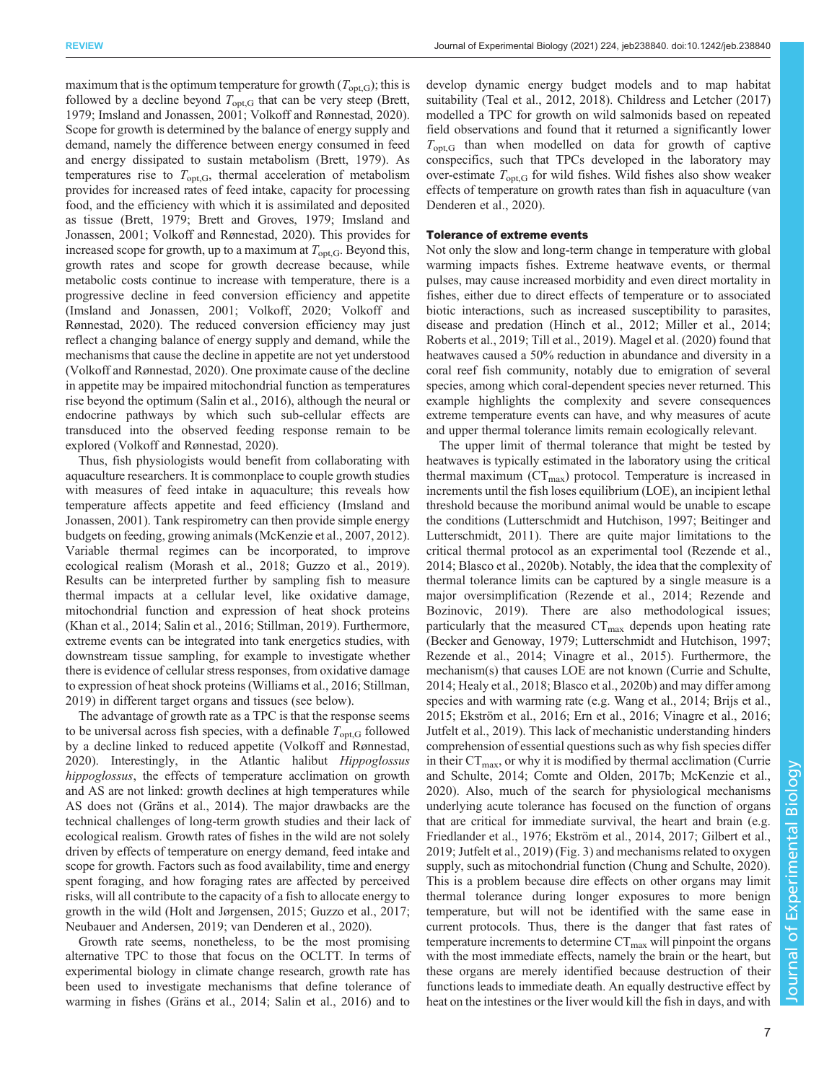maximum that is the optimum temperature for growth  $(T_{\text{opt,G}})$ ; this is followed by a decline beyond  $T_{opt,G}$  that can be very steep [\(Brett,](#page-8-0) [1979](#page-8-0); [Imsland and Jonassen, 2001](#page-10-0); [Volkoff and Rønnestad, 2020\)](#page-12-0). Scope for growth is determined by the balance of energy supply and demand, namely the difference between energy consumed in feed and energy dissipated to sustain metabolism [\(Brett, 1979](#page-8-0)). As temperatures rise to  $T_{\text{opt,G}}$ , thermal acceleration of metabolism provides for increased rates of feed intake, capacity for processing food, and the efficiency with which it is assimilated and deposited as tissue [\(Brett, 1979; Brett and Groves, 1979](#page-8-0); [Imsland and](#page-10-0) [Jonassen, 2001](#page-10-0); [Volkoff and Rønnestad, 2020](#page-12-0)). This provides for increased scope for growth, up to a maximum at  $T_{opt,G}$ . Beyond this, growth rates and scope for growth decrease because, while metabolic costs continue to increase with temperature, there is a progressive decline in feed conversion efficiency and appetite [\(Imsland and Jonassen, 2001;](#page-10-0) [Volkoff, 2020; Volkoff and](#page-12-0) [Rønnestad, 2020\)](#page-12-0). The reduced conversion efficiency may just reflect a changing balance of energy supply and demand, while the mechanisms that cause the decline in appetite are not yet understood [\(Volkoff and Rønnestad, 2020](#page-12-0)). One proximate cause of the decline in appetite may be impaired mitochondrial function as temperatures rise beyond the optimum ([Salin et al., 2016\)](#page-12-0), although the neural or endocrine pathways by which such sub-cellular effects are transduced into the observed feeding response remain to be explored [\(Volkoff and Rønnestad, 2020\)](#page-12-0).

Thus, fish physiologists would benefit from collaborating with aquaculture researchers. It is commonplace to couple growth studies with measures of feed intake in aquaculture; this reveals how temperature affects appetite and feed efficiency [\(Imsland and](#page-10-0) [Jonassen, 2001](#page-10-0)). Tank respirometry can then provide simple energy budgets on feeding, growing animals ([McKenzie et al., 2007](#page-10-0), [2012\)](#page-10-0). Variable thermal regimes can be incorporated, to improve ecological realism ([Morash et al., 2018](#page-11-0); [Guzzo et al., 2019\)](#page-9-0). Results can be interpreted further by sampling fish to measure thermal impacts at a cellular level, like oxidative damage, mitochondrial function and expression of heat shock proteins [\(Khan et al., 2014](#page-10-0); [Salin et al., 2016](#page-12-0); [Stillman, 2019](#page-12-0)). Furthermore, extreme events can be integrated into tank energetics studies, with downstream tissue sampling, for example to investigate whether there is evidence of cellular stress responses, from oxidative damage to expression of heat shock proteins ([Williams et al., 2016](#page-12-0); [Stillman,](#page-12-0) [2019](#page-12-0)) in different target organs and tissues (see below).

The advantage of growth rate as a TPC is that the response seems to be universal across fish species, with a definable  $T_{\text{out,G}}$  followed by a decline linked to reduced appetite [\(Volkoff and Rønnestad,](#page-12-0) [2020](#page-12-0)). Interestingly, in the Atlantic halibut Hippoglossus hippoglossus, the effects of temperature acclimation on growth and AS are not linked: growth declines at high temperatures while AS does not ([Gräns et al., 2014](#page-9-0)). The major drawbacks are the technical challenges of long-term growth studies and their lack of ecological realism. Growth rates of fishes in the wild are not solely driven by effects of temperature on energy demand, feed intake and scope for growth. Factors such as food availability, time and energy spent foraging, and how foraging rates are affected by perceived risks, will all contribute to the capacity of a fish to allocate energy to growth in the wild ([Holt and Jørgensen, 2015;](#page-10-0) [Guzzo et al., 2017](#page-9-0); [Neubauer and Andersen, 2019;](#page-11-0) [van Denderen et al., 2020\)](#page-12-0).

Growth rate seems, nonetheless, to be the most promising alternative TPC to those that focus on the OCLTT. In terms of experimental biology in climate change research, growth rate has been used to investigate mechanisms that define tolerance of warming in fishes [\(Gräns et al., 2014](#page-9-0); [Salin et al., 2016\)](#page-12-0) and to

develop dynamic energy budget models and to map habitat suitability ([Teal et al., 2012, 2018](#page-12-0)). [Childress and Letcher \(2017\)](#page-8-0) modelled a TPC for growth on wild salmonids based on repeated field observations and found that it returned a significantly lower  $T_{\text{opt,G}}$  than when modelled on data for growth of captive conspecifics, such that TPCs developed in the laboratory may over-estimate  $T_{\text{opt,G}}$  for wild fishes. Wild fishes also show weaker effects of temperature on growth rates than fish in aquaculture [\(van](#page-12-0) [Denderen et al., 2020\)](#page-12-0).

## Tolerance of extreme events

Not only the slow and long-term change in temperature with global warming impacts fishes. Extreme heatwave events, or thermal pulses, may cause increased morbidity and even direct mortality in fishes, either due to direct effects of temperature or to associated biotic interactions, such as increased susceptibility to parasites, disease and predation [\(Hinch et al., 2012;](#page-10-0) [Miller et al., 2014](#page-11-0); [Roberts et al., 2019](#page-11-0); [Till et al., 2019\)](#page-12-0). [Magel et al. \(2020\)](#page-10-0) found that heatwaves caused a 50% reduction in abundance and diversity in a coral reef fish community, notably due to emigration of several species, among which coral-dependent species never returned. This example highlights the complexity and severe consequences extreme temperature events can have, and why measures of acute and upper thermal tolerance limits remain ecologically relevant.

The upper limit of thermal tolerance that might be tested by heatwaves is typically estimated in the laboratory using the critical thermal maximum  $(CT_{max})$  protocol. Temperature is increased in increments until the fish loses equilibrium (LOE), an incipient lethal threshold because the moribund animal would be unable to escape the conditions ([Lutterschmidt and Hutchison, 1997](#page-10-0); [Beitinger and](#page-8-0) [Lutterschmidt, 2011](#page-8-0)). There are quite major limitations to the critical thermal protocol as an experimental tool [\(Rezende et al.,](#page-11-0) [2014;](#page-11-0) [Blasco et al., 2020b](#page-8-0)). Notably, the idea that the complexity of thermal tolerance limits can be captured by a single measure is a major oversimplification ([Rezende et al., 2014; Rezende and](#page-11-0) [Bozinovic, 2019](#page-11-0)). There are also methodological issues; particularly that the measured  $CT_{\text{max}}$  depends upon heating rate [\(Becker and Genoway, 1979;](#page-8-0) [Lutterschmidt and Hutchison, 1997](#page-10-0); [Rezende et al., 2014](#page-11-0); [Vinagre et al., 2015\)](#page-12-0). Furthermore, the mechanism(s) that causes LOE are not known ([Currie and Schulte,](#page-9-0) [2014; Healy et al., 2018](#page-9-0); [Blasco et al., 2020b\)](#page-8-0) and may differ among species and with warming rate (e.g. [Wang et al., 2014;](#page-12-0) [Brijs et al.,](#page-8-0) [2015;](#page-8-0) [Ekström et al., 2016](#page-9-0); [Ern et al., 2016;](#page-9-0) [Vinagre et al., 2016](#page-12-0); [Jutfelt et al., 2019](#page-10-0)). This lack of mechanistic understanding hinders comprehension of essential questions such as why fish species differ in their  $CT_{\text{max}}$ , or why it is modified by thermal acclimation [\(Currie](#page-9-0) [and Schulte, 2014; Comte and Olden, 2017b](#page-9-0); [McKenzie et al.,](#page-10-0) [2020\)](#page-10-0). Also, much of the search for physiological mechanisms underlying acute tolerance has focused on the function of organs that are critical for immediate survival, the heart and brain (e.g. [Friedlander et al., 1976; Ekström et al., 2014, 2017](#page-9-0); [Gilbert et al.,](#page-9-0) [2019;](#page-9-0) [Jutfelt et al., 2019\)](#page-10-0) ([Fig. 3](#page-7-0)) and mechanisms related to oxygen supply, such as mitochondrial function [\(Chung and Schulte, 2020\)](#page-9-0). This is a problem because dire effects on other organs may limit thermal tolerance during longer exposures to more benign temperature, but will not be identified with the same ease in current protocols. Thus, there is the danger that fast rates of temperature increments to determine  $CT_{\text{max}}$  will pinpoint the organs with the most immediate effects, namely the brain or the heart, but these organs are merely identified because destruction of their functions leads to immediate death. An equally destructive effect by heat on the intestines or the liver would kill the fish in days, and with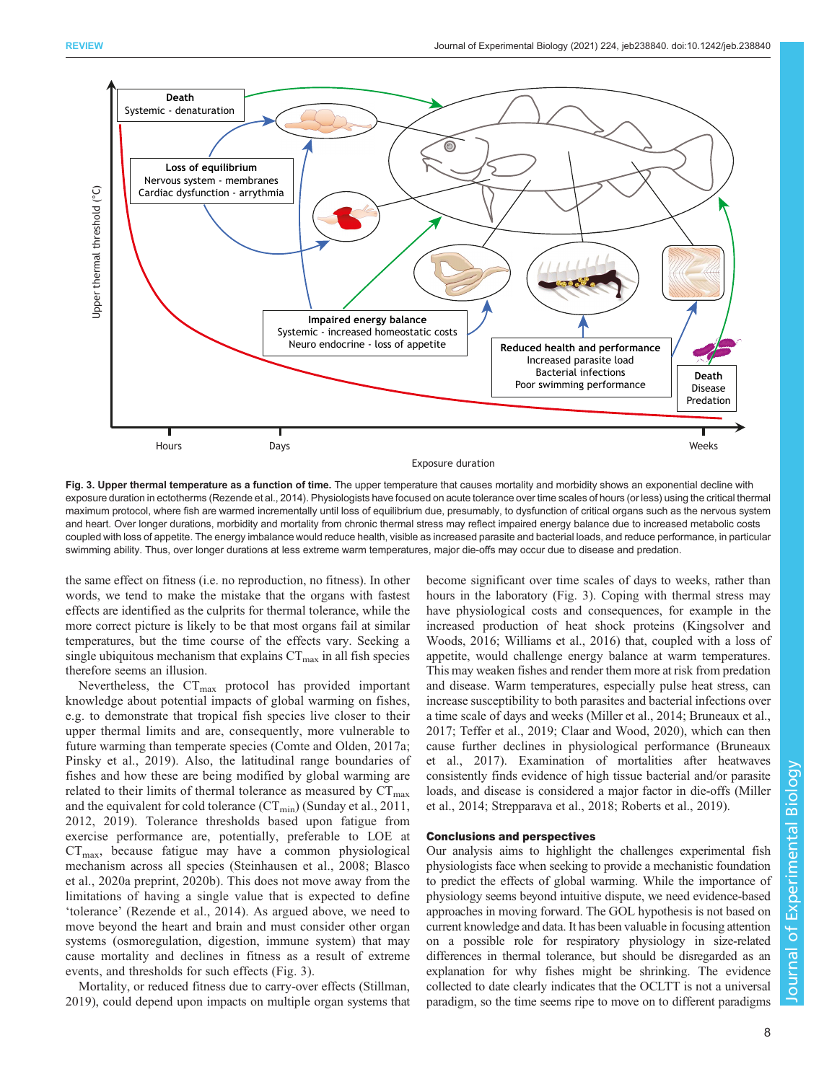<span id="page-7-0"></span>

Fig. 3. Upper thermal temperature as a function of time. The upper temperature that causes mortality and morbidity shows an exponential decline with exposure duration in ectotherms [\(Rezende et al., 2014\)](#page-11-0). Physiologists have focused on acute tolerance over time scales of hours (or less) using the critical thermal maximum protocol, where fish are warmed incrementally until loss of equilibrium due, presumably, to dysfunction of critical organs such as the nervous system and heart. Over longer durations, morbidity and mortality from chronic thermal stress may reflect impaired energy balance due to increased metabolic costs coupled with loss of appetite. The energy imbalance would reduce health, visible as increased parasite and bacterial loads, and reduce performance, in particular swimming ability. Thus, over longer durations at less extreme warm temperatures, major die-offs may occur due to disease and predation.

the same effect on fitness (i.e. no reproduction, no fitness). In other words, we tend to make the mistake that the organs with fastest effects are identified as the culprits for thermal tolerance, while the more correct picture is likely to be that most organs fail at similar temperatures, but the time course of the effects vary. Seeking a single ubiquitous mechanism that explains  $CT_{\text{max}}$  in all fish species therefore seems an illusion.

Nevertheless, the  $CT_{\text{max}}$  protocol has provided important knowledge about potential impacts of global warming on fishes, e.g. to demonstrate that tropical fish species live closer to their upper thermal limits and are, consequently, more vulnerable to future warming than temperate species [\(Comte and Olden, 2017a](#page-9-0); [Pinsky et al., 2019](#page-11-0)). Also, the latitudinal range boundaries of fishes and how these are being modified by global warming are related to their limits of thermal tolerance as measured by  $CT_{\text{max}}$ and the equivalent for cold tolerance  $(CT_{min})$  [\(Sunday et al., 2011,](#page-12-0) [2012](#page-12-0), [2019](#page-12-0)). Tolerance thresholds based upon fatigue from exercise performance are, potentially, preferable to LOE at  $CT_{\text{max}}$ , because fatigue may have a common physiological mechanism across all species [\(Steinhausen et al., 2008](#page-12-0); [Blasco](#page-8-0) [et al., 2020a](#page-8-0) preprint, [2020b](#page-8-0)). This does not move away from the limitations of having a single value that is expected to define 'tolerance' ([Rezende et al., 2014](#page-11-0)). As argued above, we need to move beyond the heart and brain and must consider other organ systems (osmoregulation, digestion, immune system) that may cause mortality and declines in fitness as a result of extreme events, and thresholds for such effects (Fig. 3).

Mortality, or reduced fitness due to carry-over effects ([Stillman,](#page-12-0) [2019](#page-12-0)), could depend upon impacts on multiple organ systems that become significant over time scales of days to weeks, rather than hours in the laboratory (Fig. 3). Coping with thermal stress may have physiological costs and consequences, for example in the increased production of heat shock proteins ([Kingsolver and](#page-10-0) [Woods, 2016](#page-10-0); [Williams et al., 2016\)](#page-12-0) that, coupled with a loss of appetite, would challenge energy balance at warm temperatures. This may weaken fishes and render them more at risk from predation and disease. Warm temperatures, especially pulse heat stress, can increase susceptibility to both parasites and bacterial infections over a time scale of days and weeks [\(Miller et al., 2014;](#page-11-0) [Bruneaux et al.,](#page-8-0) [2017;](#page-8-0) [Teffer et al., 2019](#page-12-0); [Claar and Wood, 2020](#page-9-0)), which can then cause further declines in physiological performance [\(Bruneaux](#page-8-0) [et al., 2017\)](#page-8-0). Examination of mortalities after heatwaves consistently finds evidence of high tissue bacterial and/or parasite loads, and disease is considered a major factor in die-offs ([Miller](#page-11-0) [et al., 2014;](#page-11-0) [Strepparava et al., 2018](#page-12-0); [Roberts et al., 2019\)](#page-11-0).

## Conclusions and perspectives

Our analysis aims to highlight the challenges experimental fish physiologists face when seeking to provide a mechanistic foundation to predict the effects of global warming. While the importance of physiology seems beyond intuitive dispute, we need evidence-based approaches in moving forward. The GOL hypothesis is not based on current knowledge and data. It has been valuable in focusing attention on a possible role for respiratory physiology in size-related differences in thermal tolerance, but should be disregarded as an explanation for why fishes might be shrinking. The evidence collected to date clearly indicates that the OCLTT is not a universal paradigm, so the time seems ripe to move on to different paradigms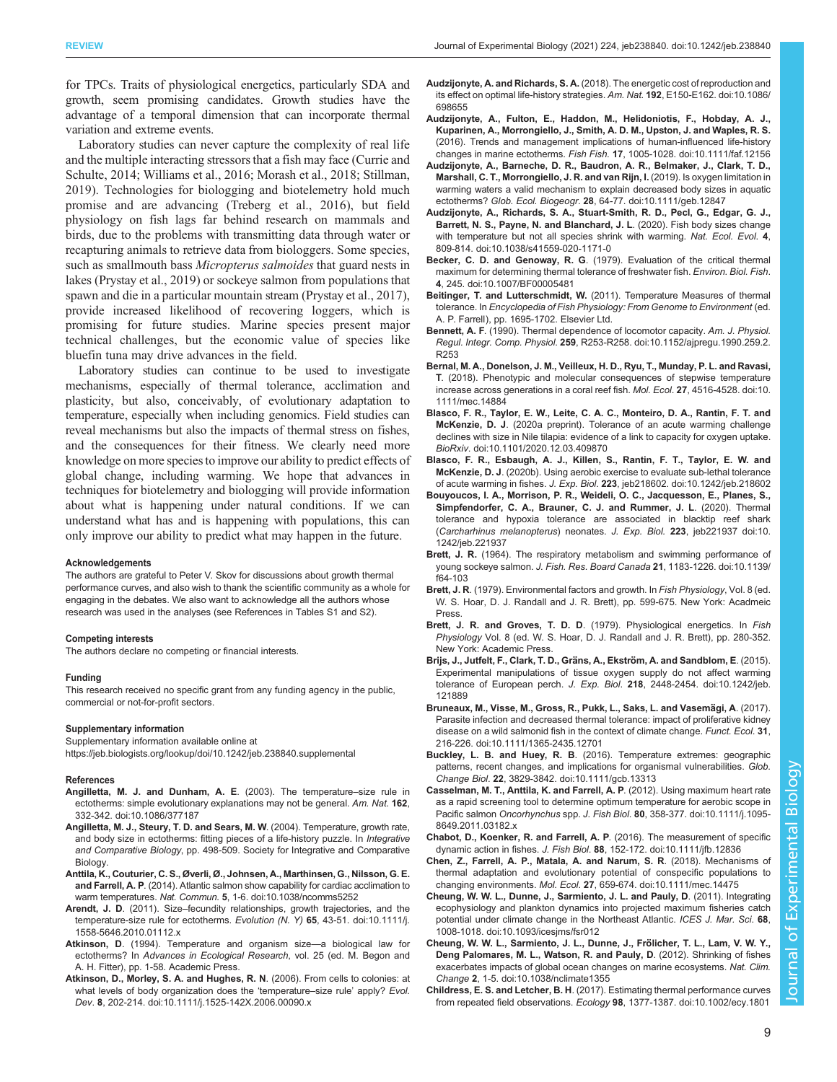<span id="page-8-0"></span>for TPCs. Traits of physiological energetics, particularly SDA and growth, seem promising candidates. Growth studies have the advantage of a temporal dimension that can incorporate thermal variation and extreme events.

Laboratory studies can never capture the complexity of real life and the multiple interacting stressors that a fish may face ([Currie and](#page-9-0) [Schulte, 2014;](#page-9-0) [Williams et al., 2016](#page-12-0); [Morash et al., 2018;](#page-11-0) [Stillman,](#page-12-0) [2019](#page-12-0)). Technologies for biologging and biotelemetry hold much promise and are advancing ([Treberg et al., 2016](#page-12-0)), but field physiology on fish lags far behind research on mammals and birds, due to the problems with transmitting data through water or recapturing animals to retrieve data from biologgers. Some species, such as smallmouth bass Micropterus salmoides that guard nests in lakes [\(Prystay et al., 2019](#page-11-0)) or sockeye salmon from populations that spawn and die in a particular mountain stream ([Prystay et al., 2017\)](#page-11-0), provide increased likelihood of recovering loggers, which is promising for future studies. Marine species present major technical challenges, but the economic value of species like bluefin tuna may drive advances in the field.

Laboratory studies can continue to be used to investigate mechanisms, especially of thermal tolerance, acclimation and plasticity, but also, conceivably, of evolutionary adaptation to temperature, especially when including genomics. Field studies can reveal mechanisms but also the impacts of thermal stress on fishes, and the consequences for their fitness. We clearly need more knowledge on more species to improve our ability to predict effects of global change, including warming. We hope that advances in techniques for biotelemetry and biologging will provide information about what is happening under natural conditions. If we can understand what has and is happening with populations, this can only improve our ability to predict what may happen in the future.

#### Acknowledgements

The authors are grateful to Peter V. Skov for discussions about growth thermal performance curves, and also wish to thank the scientific community as a whole for engaging in the debates. We also want to acknowledge all the authors whose research was used in the analyses (see References in [Tables S1](https://jeb.biologists.org/lookup/doi/10.1242/jeb.238840.supplemental) and [S2\)](https://jeb.biologists.org/lookup/doi/10.1242/jeb.238840.supplemental).

#### Competing interests

The authors declare no competing or financial interests.

#### Funding

This research received no specific grant from any funding agency in the public, commercial or not-for-profit sectors.

#### Supplementary information

Supplementary information available online at <https://jeb.biologists.org/lookup/doi/10.1242/jeb.238840.supplemental>

#### References

- [Angilletta, M. J. and Dunham, A. E](https://doi.org/10.1086/377187). (2003). The temperature–size rule in [ectotherms: simple evolutionary explanations may not be general.](https://doi.org/10.1086/377187) Am. Nat. 162, [332-342. doi:10.1086/377187](https://doi.org/10.1086/377187)
- Angilletta, M. J., Steury, T. D. and Sears, M. W. (2004). Temperature, growth rate, and body size in ectotherms: fitting pieces of a life-history puzzle. In Integrative and Comparative Biology, pp. 498-509. Society for Integrative and Comparative **Biology**
- [Anttila, K., Couturier, C. S., Øverli, Ø., Johnsen, A., Marthinsen, G., Nilsson, G. E.](https://doi.org/10.1038/ncomms5252) and Farrell, A. P[. \(2014\). Atlantic salmon show capability for cardiac acclimation to](https://doi.org/10.1038/ncomms5252) warm temperatures. Nat. Commun. 5[, 1-6. doi:10.1038/ncomms5252](https://doi.org/10.1038/ncomms5252)
- Arendt, J. D. (2011). Size–[fecundity relationships, growth trajectories, and the](https://doi.org/10.1111/j.1558-5646.2010.01112.x) [temperature-size rule for ectotherms.](https://doi.org/10.1111/j.1558-5646.2010.01112.x) Evolution (N. Y) 65, 43-51. doi:10.1111/j. [1558-5646.2010.01112.x](https://doi.org/10.1111/j.1558-5646.2010.01112.x)
- Atkinson, D. (1994). Temperature and organism size—a biological law for ectotherms? In Advances in Ecological Research, vol. 25 (ed. M. Begon and A. H. Fitter), pp. 1-58. Academic Press.
- [Atkinson, D., Morley, S. A. and Hughes, R. N](https://doi.org/10.1111/j.1525-142X.2006.00090.x). (2006). From cells to colonies: at [what levels of body organization does the](https://doi.org/10.1111/j.1525-142X.2006.00090.x) 'temperature-size rule' apply? Evol. Dev. 8[, 202-214. doi:10.1111/j.1525-142X.2006.00090.x](https://doi.org/10.1111/j.1525-142X.2006.00090.x)
- Audzijonyte, A. and Richards, S. A. [\(2018\). The energetic cost of reproduction and](https://doi.org/10.1086/698655) [its effect on optimal life-history strategies.](https://doi.org/10.1086/698655) Am. Nat. 192, E150-E162. doi:10.1086/ [698655](https://doi.org/10.1086/698655)
- [Audzijonyte, A., Fulton, E., Haddon, M., Helidoniotis, F., Hobday, A. J.,](https://doi.org/10.1111/faf.12156) [Kuparinen, A., Morrongiello, J., Smith, A. D. M., Upston, J. and Waples, R. S.](https://doi.org/10.1111/faf.12156) [\(2016\). Trends and management implications of human-influenced life-history](https://doi.org/10.1111/faf.12156) changes in marine ectotherms. Fish Fish. 17[, 1005-1028. doi:10.1111/faf.12156](https://doi.org/10.1111/faf.12156)
- [Audzijonyte, A., Barneche, D. R., Baudron, A. R., Belmaker, J., Clark, T. D.,](https://doi.org/10.1111/geb.12847) [Marshall, C. T., Morrongiello, J. R. and van Rijn, I.](https://doi.org/10.1111/geb.12847) (2019). Is oxygen limitation in [warming waters a valid mechanism to explain decreased body sizes in aquatic](https://doi.org/10.1111/geb.12847) ectotherms? Glob. Ecol. Biogeogr. 28[, 64-77. doi:10.1111/geb.12847](https://doi.org/10.1111/geb.12847)
- [Audzijonyte, A., Richards, S. A., Stuart-Smith, R. D., Pecl, G., Edgar, G. J.,](https://doi.org/10.1038/s41559-020-1171-0) [Barrett, N. S., Payne, N. and Blanchard, J. L](https://doi.org/10.1038/s41559-020-1171-0). (2020). Fish body sizes change [with temperature but not all species shrink with warming.](https://doi.org/10.1038/s41559-020-1171-0) Nat. Ecol. Evol. 4, [809-814. doi:10.1038/s41559-020-1171-0](https://doi.org/10.1038/s41559-020-1171-0)
- Becker, C. D. and Genoway, R. G[. \(1979\). Evaluation of the critical thermal](https://doi.org/10.1007/BF00005481) [maximum for determining thermal tolerance of freshwater fish.](https://doi.org/10.1007/BF00005481) Environ. Biol. Fish. 4[, 245. doi:10.1007/BF00005481](https://doi.org/10.1007/BF00005481)
- Beitinger, T. and Lutterschmidt, W. (2011). Temperature Measures of thermal tolerance. In Encyclopedia of Fish Physiology: From Genome to Environment (ed. A. P. Farrell), pp. 1695-1702. Elsevier Ltd.
- Bennett, A. F[. \(1990\). Thermal dependence of locomotor capacity.](https://doi.org/10.1152/ajpregu.1990.259.2.R253) Am. J. Physiol. Regul. Integr. Comp. Physiol. 259[, R253-R258. doi:10.1152/ajpregu.1990.259.2.](https://doi.org/10.1152/ajpregu.1990.259.2.R253) [R253](https://doi.org/10.1152/ajpregu.1990.259.2.R253)
- [Bernal, M. A., Donelson, J. M., Veilleux, H. D., Ryu, T., Munday, P. L. and Ravasi,](https://doi.org/10.1111/mec.14884) T[. \(2018\). Phenotypic and molecular consequences of stepwise temperature](https://doi.org/10.1111/mec.14884) [increase across generations in a coral reef fish.](https://doi.org/10.1111/mec.14884) Mol. Ecol. 27, 4516-4528. doi:10. [1111/mec.14884](https://doi.org/10.1111/mec.14884)
- [Blasco, F. R., Taylor, E. W., Leite, C. A. C., Monteiro, D. A., Rantin, F. T. and](https://doi.org/10.1101/2020.12.03.409870) McKenzie, D. J[. \(2020a preprint\). Tolerance of an acute warming challenge](https://doi.org/10.1101/2020.12.03.409870) [declines with size in Nile tilapia: evidence of a link to capacity for oxygen uptake.](https://doi.org/10.1101/2020.12.03.409870) BioRxiv[. doi:10.1101/2020.12.03.409870](https://doi.org/10.1101/2020.12.03.409870)
- [Blasco, F. R., Esbaugh, A. J., Killen, S., Rantin, F. T., Taylor, E. W. and](https://doi.org/10.1242/jeb.218602) McKenzie, D. J[. \(2020b\). Using aerobic exercise to evaluate sub-lethal tolerance](https://doi.org/10.1242/jeb.218602) of acute warming in fishes. J. Exp. Biol. 223[, jeb218602. doi:10.1242/jeb.218602](https://doi.org/10.1242/jeb.218602)
- [Bouyoucos, I. A., Morrison, P. R., Weideli, O. C., Jacquesson, E., Planes, S.,](https://doi.org/10.1242/jeb.221937) [Simpfendorfer, C. A., Brauner, C. J. and Rummer, J. L](https://doi.org/10.1242/jeb.221937). (2020). Thermal [tolerance and hypoxia tolerance are associated in blacktip reef shark](https://doi.org/10.1242/jeb.221937) ([Carcharhinus melanopterus](https://doi.org/10.1242/jeb.221937)) neonates. J. Exp. Biol. 223, jeb221937 doi:10. [1242/jeb.221937](https://doi.org/10.1242/jeb.221937)
- Brett, J. R. [\(1964\). The respiratory metabolism and swimming performance of](https://doi.org/10.1139/f64-103) young sockeye salmon. [J. Fish. Res. Board Canada](https://doi.org/10.1139/f64-103) 21, 1183-1226. doi:10.1139/ [f64-103](https://doi.org/10.1139/f64-103)
- Brett, J. R. (1979). Environmental factors and growth. In Fish Physiology, Vol. 8 (ed. W. S. Hoar, D. J. Randall and J. R. Brett), pp. 599-675. New York: Acadmeic Press.
- Brett, J. R. and Groves, T. D. D. (1979). Physiological energetics. In Fish Physiology Vol. 8 (ed. W. S. Hoar, D. J. Randall and J. R. Brett), pp. 280-352. New York: Academic Press.
- Brijs, J., Jutfelt, F., Clark, T. D., Gräns, A., Ekström, A. and Sandblom, E. (2015). [Experimental manipulations of tissue oxygen supply do not affect warming](https://doi.org/10.1242/jeb.121889) [tolerance of European perch.](https://doi.org/10.1242/jeb.121889) J. Exp. Biol. 218, 2448-2454. doi:10.1242/jeb. [121889](https://doi.org/10.1242/jeb.121889)
- Bruneaux, M., Visse, M., Gross, R., Pukk, L., Saks, L. and Vasemägi, A. (2017). [Parasite infection and decreased thermal tolerance: impact of proliferative kidney](https://doi.org/10.1111/1365-2435.12701) [disease on a wild salmonid fish in the context of climate change.](https://doi.org/10.1111/1365-2435.12701) Funct. Ecol. 31, [216-226. doi:10.1111/1365-2435.12701](https://doi.org/10.1111/1365-2435.12701)
- Buckley, L. B. and Huey, R. B[. \(2016\). Temperature extremes: geographic](https://doi.org/10.1111/gcb.13313) [patterns, recent changes, and implications for organismal vulnerabilities.](https://doi.org/10.1111/gcb.13313) Glob. Change Biol. 22[, 3829-3842. doi:10.1111/gcb.13313](https://doi.org/10.1111/gcb.13313)
- [Casselman, M. T., Anttila, K. and Farrell, A. P](https://doi.org/10.1111/j.1095-8649.2011.03182.x). (2012). Using maximum heart rate [as a rapid screening tool to determine optimum temperature for aerobic scope in](https://doi.org/10.1111/j.1095-8649.2011.03182.x) Pacific salmon Oncorhynchus spp. J. Fish Biol. 80[, 358-377. doi:10.1111/j.1095-](https://doi.org/10.1111/j.1095-8649.2011.03182.x) [8649.2011.03182.x](https://doi.org/10.1111/j.1095-8649.2011.03182.x)
- [Chabot, D., Koenker, R. and Farrell, A. P](https://doi.org/10.1111/jfb.12836). (2016). The measurement of specific dynamic action in fishes. J. Fish Biol. 88[, 152-172. doi:10.1111/jfb.12836](https://doi.org/10.1111/jfb.12836)
- [Chen, Z., Farrell, A. P., Matala, A. and Narum, S. R](https://doi.org/10.1111/mec.14475). (2018). Mechanisms of [thermal adaptation and evolutionary potential of conspecific populations to](https://doi.org/10.1111/mec.14475) changing environments. Mol. Ecol. 27[, 659-674. doi:10.1111/mec.14475](https://doi.org/10.1111/mec.14475)
- [Cheung, W. W. L., Dunne, J., Sarmiento, J. L. and Pauly, D](https://doi.org/10.1093/icesjms/fsr012). (2011). Integrating [ecophysiology and plankton dynamics into projected maximum fisheries catch](https://doi.org/10.1093/icesjms/fsr012) [potential under climate change in the Northeast Atlantic.](https://doi.org/10.1093/icesjms/fsr012) ICES J. Mar. Sci. 68, [1008-1018. doi:10.1093/icesjms/fsr012](https://doi.org/10.1093/icesjms/fsr012)
- Cheung, W. W. L., Sarmiento, J. L., Dunne, J., Frölicher, T. L., Lam, V. W. Y., [Deng Palomares, M. L., Watson, R. and Pauly, D](https://doi.org/10.1038/nclimate1355). (2012). Shrinking of fishes [exacerbates impacts of global ocean changes on marine ecosystems.](https://doi.org/10.1038/nclimate1355) Nat. Clim. Change 2[, 1-5. doi:10.1038/nclimate1355](https://doi.org/10.1038/nclimate1355)
- Childress, E. S. and Letcher, B. H[. \(2017\). Estimating thermal performance curves](https://doi.org/10.1002/ecy.1801) from repeated field observations. Ecology 98[, 1377-1387. doi:10.1002/ecy.1801](https://doi.org/10.1002/ecy.1801)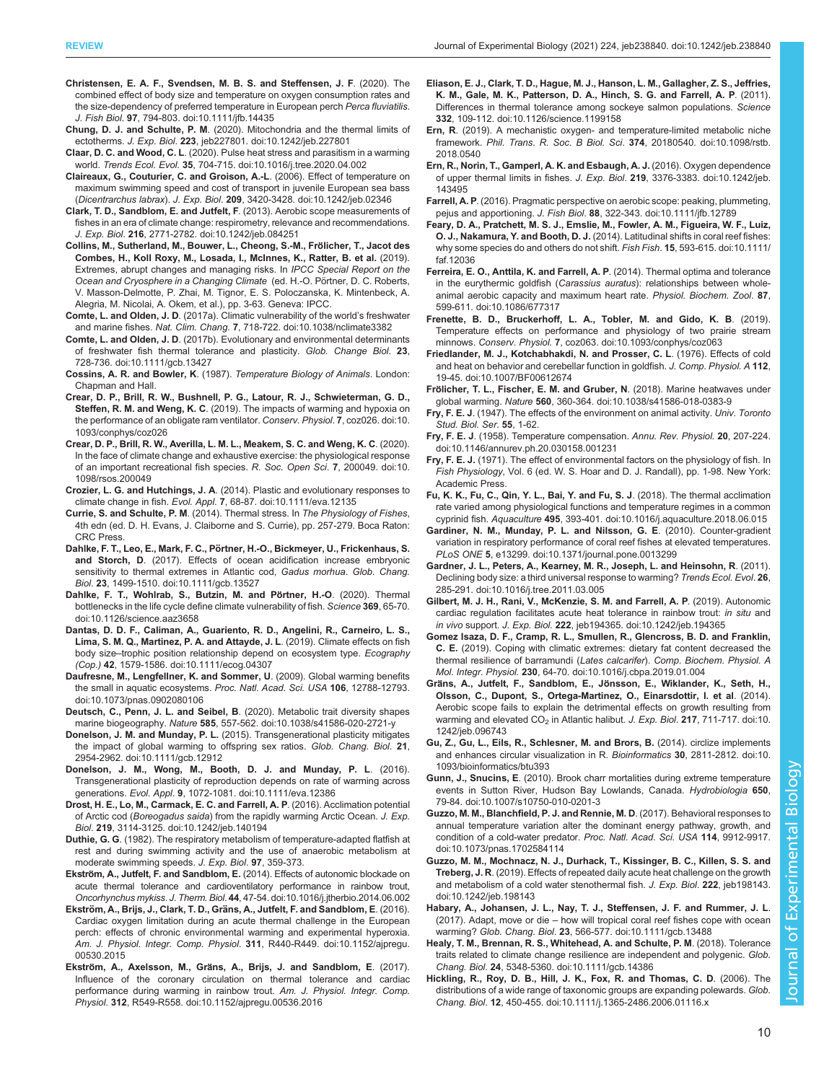- <span id="page-9-0"></span>[Christensen, E. A. F., Svendsen, M. B. S. and Steffensen, J. F](https://doi.org/10.1111/jfb.14435). (2020). The [combined effect of body size and temperature on oxygen consumption rates and](https://doi.org/10.1111/jfb.14435) [the size-dependency of preferred temperature in European perch](https://doi.org/10.1111/jfb.14435) Perca fluviatilis. J. Fish Biol. 97[, 794-803. doi:10.1111/jfb.14435](https://doi.org/10.1111/jfb.14435)
- Chung, D. J. and Schulte, P. M[. \(2020\). Mitochondria and the thermal limits of](https://doi.org/10.1242/jeb.227801) ectotherms. J. Exp. Biol. 223[, jeb227801. doi:10.1242/jeb.227801](https://doi.org/10.1242/jeb.227801)
- Claar, D. C. and Wood, C. L[. \(2020\). Pulse heat stress and parasitism in a warming](https://doi.org/10.1016/j.tree.2020.04.002) world. Trends Ecol. Evol. 35[, 704-715. doi:10.1016/j.tree.2020.04.002](https://doi.org/10.1016/j.tree.2020.04.002)
- [Claireaux, G., Couturier, C. and Groison, A.-L](https://doi.org/10.1242/jeb.02346). (2006). Effect of temperature on [maximum swimming speed and cost of transport in juvenile European sea bass](https://doi.org/10.1242/jeb.02346) (Dicentrarchus labrax). J. Exp. Biol. 209[, 3420-3428. doi:10.1242/jeb.02346](https://doi.org/10.1242/jeb.02346)
- [Clark, T. D., Sandblom, E. and Jutfelt, F](https://doi.org/10.1242/jeb.084251). (2013). Aerobic scope measurements of [fishes in an era of climate change: respirometry, relevance and recommendations.](https://doi.org/10.1242/jeb.084251) J. Exp. Biol. 216[, 2771-2782. doi:10.1242/jeb.084251](https://doi.org/10.1242/jeb.084251)
- Collins, M., Sutherland, M., Bouwer, L., Cheong, S.-M., Frölicher, T., Jacot des Combes, H., Koll Roxy, M., Losada, I., McInnes, K., Ratter, B. et al. (2019). Extremes, abrupt changes and managing risks. In IPCC Special Report on the Ocean and Cryosphere in a Changing Climate (ed. H.-O. Pörtner, D. C. Roberts, V. Masson-Delmotte, P. Zhai, M. Tignor, E. S. Poloczanska, K. Mintenbeck, A. Alegria, M. Nicolai, A. Okem, et al.), pp. 3-63. Geneva: IPCC.
- Comte, L. and Olden, J. D[. \(2017a\). Climatic vulnerability of the world](https://doi.org/10.1038/nclimate3382)'s freshwater and marine fishes. Nat. Clim. Chang. 7[, 718-722. doi:10.1038/nclimate3382](https://doi.org/10.1038/nclimate3382)
- Comte, L. and Olden, J. D[. \(2017b\). Evolutionary and environmental determinants](https://doi.org/10.1111/gcb.13427) [of freshwater fish thermal tolerance and plasticity.](https://doi.org/10.1111/gcb.13427) Glob. Change Biol. 23, [728-736. doi:10.1111/gcb.13427](https://doi.org/10.1111/gcb.13427)
- Cossins, A. R. and Bowler, K. (1987). Temperature Biology of Animals. London: Chapman and Hall.
- [Crear, D. P., Brill, R. W., Bushnell, P. G., Latour, R. J., Schwieterman, G. D.,](https://doi.org/10.1093/conphys/coz026) Steffen, R. M. and Weng, K. C[. \(2019\). The impacts of warming and hypoxia on](https://doi.org/10.1093/conphys/coz026) [the performance of an obligate ram ventilator.](https://doi.org/10.1093/conphys/coz026) Conserv. Physiol. 7, coz026. doi:10. [1093/conphys/coz026](https://doi.org/10.1093/conphys/coz026)
- [Crear, D. P., Brill, R. W., Averilla, L. M. L., Meakem, S. C. and Weng, K. C](https://doi.org/10.1098/rsos.200049). (2020). [In the face of climate change and exhaustive exercise: the physiological response](https://doi.org/10.1098/rsos.200049) [of an important recreational fish species.](https://doi.org/10.1098/rsos.200049) R. Soc. Open Sci. 7, 200049. doi:10. [1098/rsos.200049](https://doi.org/10.1098/rsos.200049)
- Crozier, L. G. and Hutchings, J. A[. \(2014\). Plastic and evolutionary responses to](https://doi.org/10.1111/eva.12135) climate change in fish. Evol. Appl. 7[, 68-87. doi:10.1111/eva.12135](https://doi.org/10.1111/eva.12135)
- Currie, S. and Schulte, P. M. (2014). Thermal stress. In The Physiology of Fishes, 4th edn (ed. D. H. Evans, J. Claiborne and S. Currie), pp. 257-279. Boca Raton: CRC Press.
- Dahlke, F. T., Leo, E., Mark, F. C., Pö[rtner, H.-O., Bickmeyer, U., Frickenhaus, S.](https://doi.org/10.1111/gcb.13527) and Storch, D[. \(2017\). Effects of ocean acidification increase embryonic](https://doi.org/10.1111/gcb.13527) [sensitivity to thermal extremes in Atlantic cod,](https://doi.org/10.1111/gcb.13527) Gadus morhua. Glob. Chang. Biol. 23[, 1499-1510. doi:10.1111/gcb.13527](https://doi.org/10.1111/gcb.13527)
- Dahlke, F. T., Wohlrab, S., Butzin, M. and Pörtner, H.-O. (2020). Thermal [bottlenecks in the life cycle define climate vulnerability of fish.](https://doi.org/10.1126/science.aaz3658) Science 369, 65-70. [doi:10.1126/science.aaz3658](https://doi.org/10.1126/science.aaz3658)
- [Dantas, D. D. F., Caliman, A., Guariento, R. D., Angelini, R., Carneiro, L. S.,](https://doi.org/10.1111/ecog.04307) [Lima, S. M. Q., Martinez, P. A. and Attayde, J. L](https://doi.org/10.1111/ecog.04307). (2019). Climate effects on fish body size-[trophic position relationship depend on ecosystem type.](https://doi.org/10.1111/ecog.04307) Ecography (Cop.) 42[, 1579-1586. doi:10.1111/ecog.04307](https://doi.org/10.1111/ecog.04307)
- [Daufresne, M., Lengfellner, K. and Sommer, U](https://doi.org/10.1073/pnas.0902080106). (2009). Global warming benefits [the small in aquatic ecosystems.](https://doi.org/10.1073/pnas.0902080106) Proc. Natl. Acad. Sci. USA 106, 12788-12793. [doi:10.1073/pnas.0902080106](https://doi.org/10.1073/pnas.0902080106)
- [Deutsch, C., Penn, J. L. and Seibel, B](https://doi.org/10.1038/s41586-020-2721-y). (2020). Metabolic trait diversity shapes marine biogeography. Nature 585[, 557-562. doi:10.1038/s41586-020-2721-y](https://doi.org/10.1038/s41586-020-2721-y)
- Donelson, J. M. and Munday, P. L. [\(2015\). Transgenerational plasticity mitigates](https://doi.org/10.1111/gcb.12912) [the impact of global warming to offspring sex ratios.](https://doi.org/10.1111/gcb.12912) Glob. Chang. Biol. 21, [2954-2962. doi:10.1111/gcb.12912](https://doi.org/10.1111/gcb.12912)
- [Donelson, J. M., Wong, M., Booth, D. J. and Munday, P. L](https://doi.org/10.1111/eva.12386). (2016). [Transgenerational plasticity of reproduction depends on rate of warming across](https://doi.org/10.1111/eva.12386) generations. Evol. Appl. 9[, 1072-1081. doi:10.1111/eva.12386](https://doi.org/10.1111/eva.12386)
- [Drost, H. E., Lo, M., Carmack, E. C. and Farrell, A. P](https://doi.org/10.1242/jeb.140194). (2016). Acclimation potential of Arctic cod (Boreogadus saida[\) from the rapidly warming Arctic Ocean.](https://doi.org/10.1242/jeb.140194) J. Exp. Biol. 219[, 3114-3125. doi:10.1242/jeb.140194](https://doi.org/10.1242/jeb.140194)
- Duthie, G. G. (1982). The respiratory metabolism of temperature-adapted flatfish at rest and during swimming activity and the use of anaerobic metabolism at moderate swimming speeds. J. Exp. Biol. 97, 359-373.
- Ekström, A., Jutfelt, F. and Sandblom, E. [\(2014\). Effects of autonomic blockade on](https://doi.org/10.1016/j.jtherbio.2014.06.002) [acute thermal tolerance and cardioventilatory performance in rainbow trout,](https://doi.org/10.1016/j.jtherbio.2014.06.002) Oncorhynchus mykiss. J. Therm. Biol. 44[, 47-54. doi:10.1016/j.jtherbio.2014.06.002](https://doi.org/10.1016/j.jtherbio.2014.06.002)
- Ekström, A., Brijs, J., Clark, T. D., Grä[ns, A., Jutfelt, F. and Sandblom, E](https://doi.org/10.1152/ajpregu.00530.2015). (2016). [Cardiac oxygen limitation during an acute thermal challenge in the European](https://doi.org/10.1152/ajpregu.00530.2015) [perch: effects of chronic environmental warming and experimental hyperoxia.](https://doi.org/10.1152/ajpregu.00530.2015) [Am. J. Physiol. Integr. Comp. Physiol](https://doi.org/10.1152/ajpregu.00530.2015). 311, R440-R449. doi:10.1152/ajpregu. [00530.2015](https://doi.org/10.1152/ajpregu.00530.2015)
- Ekström, A., Axelsson, M., Grä[ns, A., Brijs, J. and Sandblom, E](https://doi.org/10.1152/ajpregu.00536.2016). (2017). [Influence of the coronary circulation on thermal tolerance and cardiac](https://doi.org/10.1152/ajpregu.00536.2016) [performance during warming in rainbow trout.](https://doi.org/10.1152/ajpregu.00536.2016) Am. J. Physiol. Integr. Comp. Physiol. 312[, R549-R558. doi:10.1152/ajpregu.00536.2016](https://doi.org/10.1152/ajpregu.00536.2016)
- [Eliason, E. J., Clark, T. D., Hague, M. J., Hanson, L. M., Gallagher, Z. S., Jeffries,](https://doi.org/10.1126/science.1199158) [K. M., Gale, M. K., Patterson, D. A., Hinch, S. G. and Farrell, A. P](https://doi.org/10.1126/science.1199158). (2011). [Differences in thermal tolerance among sockeye salmon populations.](https://doi.org/10.1126/science.1199158) Science 332[, 109-112. doi:10.1126/science.1199158](https://doi.org/10.1126/science.1199158)
- Ern, R[. \(2019\). A mechanistic oxygen- and temperature-limited metabolic niche](https://doi.org/10.1098/rstb.2018.0540) framework. [Phil. Trans. R. Soc. B Biol. Sci](https://doi.org/10.1098/rstb.2018.0540). 374, 20180540. doi:10.1098/rstb. [2018.0540](https://doi.org/10.1098/rstb.2018.0540)
- [Ern, R., Norin, T., Gamperl, A. K. and Esbaugh, A. J.](https://doi.org/10.1242/jeb.143495) (2016). Oxygen dependence [of upper thermal limits in fishes.](https://doi.org/10.1242/jeb.143495) J. Exp. Biol. 219, 3376-3383. doi:10.1242/jeb. [143495](https://doi.org/10.1242/jeb.143495)
- Farrell, A. P[. \(2016\). Pragmatic perspective on aerobic scope: peaking, plummeting,](https://doi.org/10.1111/jfb.12789) pejus and apportioning. J. Fish Biol. 88[, 322-343. doi:10.1111/jfb.12789](https://doi.org/10.1111/jfb.12789)
- [Feary, D. A., Pratchett, M. S. J., Emslie, M., Fowler, A. M., Figueira, W. F., Luiz,](https://doi.org/10.1111/faf.12036) O. J., Nakamura, Y. and Booth, D. J. [\(2014\). Latitudinal shifts in coral reef fishes:](https://doi.org/10.1111/faf.12036) [why some species do and others do not shift.](https://doi.org/10.1111/faf.12036) Fish Fish. 15, 593-615. doi:10.1111/ [faf.12036](https://doi.org/10.1111/faf.12036)
- [Ferreira, E. O., Anttila, K. and Farrell, A. P](https://doi.org/10.1086/677317). (2014). Thermal optima and tolerance in the eurythermic goldfish (Carassius auratus[\): relationships between whole](https://doi.org/10.1086/677317)[animal aerobic capacity and maximum heart rate.](https://doi.org/10.1086/677317) Physiol. Biochem. Zool. 87, [599-611. doi:10.1086/677317](https://doi.org/10.1086/677317)
- [Frenette, B. D., Bruckerhoff, L. A., Tobler, M. and Gido, K. B](https://doi.org/10.1093/conphys/coz063). (2019). [Temperature effects on performance and physiology of two prairie stream](https://doi.org/10.1093/conphys/coz063) minnows. Conserv. Physiol. 7[, coz063. doi:10.1093/conphys/coz063](https://doi.org/10.1093/conphys/coz063)
- [Friedlander, M. J., Kotchabhakdi, N. and Prosser, C. L](https://doi.org/10.1007/BF00612674). (1976). Effects of cold [and heat on behavior and cerebellar function in goldfish.](https://doi.org/10.1007/BF00612674) J. Comp. Physiol. A 112, [19-45. doi:10.1007/BF00612674](https://doi.org/10.1007/BF00612674)
- Frö[licher, T. L., Fischer, E. M. and Gruber, N](https://doi.org/10.1038/s41586-018-0383-9). (2018). Marine heatwaves under global warming. Nature 560[, 360-364. doi:10.1038/s41586-018-0383-9](https://doi.org/10.1038/s41586-018-0383-9)
- Fry, F. E. J. (1947). The effects of the environment on animal activity. Univ. Toronto Stud. Biol. Ser. 55, 1-62.
- Fry, F. E. J[. \(1958\). Temperature compensation.](https://doi.org/10.1146/annurev.ph.20.030158.001231) Annu. Rev. Physiol. 20, 207-224. [doi:10.1146/annurev.ph.20.030158.001231](https://doi.org/10.1146/annurev.ph.20.030158.001231)
- Fry, F. E. J. (1971). The effect of environmental factors on the physiology of fish. In Fish Physiology, Vol. 6 (ed. W. S. Hoar and D. J. Randall), pp. 1-98. New York: Academic Press.
- [Fu, K. K., Fu, C., Qin, Y. L., Bai, Y. and Fu, S. J](https://doi.org/10.1016/j.aquaculture.2018.06.015). (2018). The thermal acclimation [rate varied among physiological functions and temperature regimes in a common](https://doi.org/10.1016/j.aquaculture.2018.06.015) cyprinid fish. Aquaculture 495[, 393-401. doi:10.1016/j.aquaculture.2018.06.015](https://doi.org/10.1016/j.aquaculture.2018.06.015)
- [Gardiner, N. M., Munday, P. L. and Nilsson, G. E](https://doi.org/10.1371/journal.pone.0013299). (2010). Counter-gradient [variation in respiratory performance of coral reef fishes at elevated temperatures.](https://doi.org/10.1371/journal.pone.0013299) PLoS ONE 5[, e13299. doi:10.1371/journal.pone.0013299](https://doi.org/10.1371/journal.pone.0013299)
- [Gardner, J. L., Peters, A., Kearney, M. R., Joseph, L. and Heinsohn, R](https://doi.org/10.1016/j.tree.2011.03.005). (2011). [Declining body size: a third universal response to warming?](https://doi.org/10.1016/j.tree.2011.03.005) Trends Ecol. Evol. 26, [285-291. doi:10.1016/j.tree.2011.03.005](https://doi.org/10.1016/j.tree.2011.03.005)
- [Gilbert, M. J. H., Rani, V., McKenzie, S. M. and Farrell, A. P](https://doi.org/10.1242/jeb.194365). (2019). Autonomic [cardiac regulation facilitates acute heat tolerance in rainbow trout:](https://doi.org/10.1242/jeb.194365) in situ and in vivo support. J. Exp. Biol. 222[, jeb194365. doi:10.1242/jeb.194365](https://doi.org/10.1242/jeb.194365)
- [Gomez Isaza, D. F., Cramp, R. L., Smullen, R., Glencross, B. D. and Franklin,](https://doi.org/10.1016/j.cbpa.2019.01.004) C. E. [\(2019\). Coping with climatic extremes: dietary fat content decreased the](https://doi.org/10.1016/j.cbpa.2019.01.004) [thermal resilience of barramundi \(](https://doi.org/10.1016/j.cbpa.2019.01.004)Lates calcarifer). Comp. Biochem. Physiol. A Mol. Integr. Physiol. 230[, 64-70. doi:10.1016/j.cbpa.2019.01.004](https://doi.org/10.1016/j.cbpa.2019.01.004)
- Gräns, A., Jutfelt, F., Sandblom, E., Jönsson, E., Wiklander, K., Seth, H., [Olsson, C., Dupont, S., Ortega-Martinez, O., Einarsdottir, I. et al](https://doi.org/10.1242/jeb.096743). (2014). [Aerobic scope fails to explain the detrimental effects on growth resulting from](https://doi.org/10.1242/jeb.096743) warming and elevated CO<sub>2</sub> [in Atlantic halibut.](https://doi.org/10.1242/jeb.096743) J. Exp. Biol. 217, 711-717. doi:10. [1242/jeb.096743](https://doi.org/10.1242/jeb.096743)
- [Gu, Z., Gu, L., Eils, R., Schlesner, M. and Brors, B.](https://doi.org/10.1093/bioinformatics/btu393) (2014). circlize implements [and enhances circular visualization in R.](https://doi.org/10.1093/bioinformatics/btu393) Bioinformatics 30, 2811-2812. doi:10. [1093/bioinformatics/btu393](https://doi.org/10.1093/bioinformatics/btu393)
- Gunn, J., Snucins, E[. \(2010\). Brook charr mortalities during extreme temperature](https://doi.org/10.1007/s10750-010-0201-3) [events in Sutton River, Hudson Bay Lowlands, Canada.](https://doi.org/10.1007/s10750-010-0201-3) Hydrobiologia 650, [79-84. doi:10.1007/s10750-010-0201-3](https://doi.org/10.1007/s10750-010-0201-3)
- [Guzzo, M. M., Blanchfield, P. J. and Rennie, M. D](https://doi.org/10.1073/pnas.1702584114). (2017). Behavioral responses to [annual temperature variation alter the dominant energy pathway, growth, and](https://doi.org/10.1073/pnas.1702584114) [condition of a cold-water predator.](https://doi.org/10.1073/pnas.1702584114) Proc. Natl. Acad. Sci. USA 114, 9912-9917. [doi:10.1073/pnas.1702584114](https://doi.org/10.1073/pnas.1702584114)
- [Guzzo, M. M., Mochnacz, N. J., Durhack, T., Kissinger, B. C., Killen, S. S. and](https://doi.org/10.1242/jeb.198143) Treberg, J. R[. \(2019\). Effects of repeated daily acute heat challenge on the growth](https://doi.org/10.1242/jeb.198143) [and metabolism of a cold water stenothermal fish.](https://doi.org/10.1242/jeb.198143) J. Exp. Biol. 222, jeb198143. [doi:10.1242/jeb.198143](https://doi.org/10.1242/jeb.198143)
- [Habary, A., Johansen, J. L., Nay, T. J., Steffensen, J. F. and Rummer, J. L](https://doi.org/10.1111/gcb.13488). (2017). Adapt, move or die – [how will tropical coral reef fishes cope with ocean](https://doi.org/10.1111/gcb.13488) warming? Glob. Chang. Biol. 23[, 566-577. doi:10.1111/gcb.13488](https://doi.org/10.1111/gcb.13488)
- [Healy, T. M., Brennan, R. S., Whitehead, A. and Schulte, P. M](https://doi.org/10.1111/gcb.14386). (2018). Tolerance [traits related to climate change resilience are independent and polygenic.](https://doi.org/10.1111/gcb.14386) Glob. Chang. Biol. 24[, 5348-5360. doi:10.1111/gcb.14386](https://doi.org/10.1111/gcb.14386)
- [Hickling, R., Roy, D. B., Hill, J. K., Fox, R. and Thomas, C. D](https://doi.org/10.1111/j.1365-2486.2006.01116.x). (2006). The [distributions of a wide range of taxonomic groups are expanding polewards.](https://doi.org/10.1111/j.1365-2486.2006.01116.x) Glob. Chang. Biol. 12[, 450-455. doi:10.1111/j.1365-2486.2006.01116.x](https://doi.org/10.1111/j.1365-2486.2006.01116.x)

Biology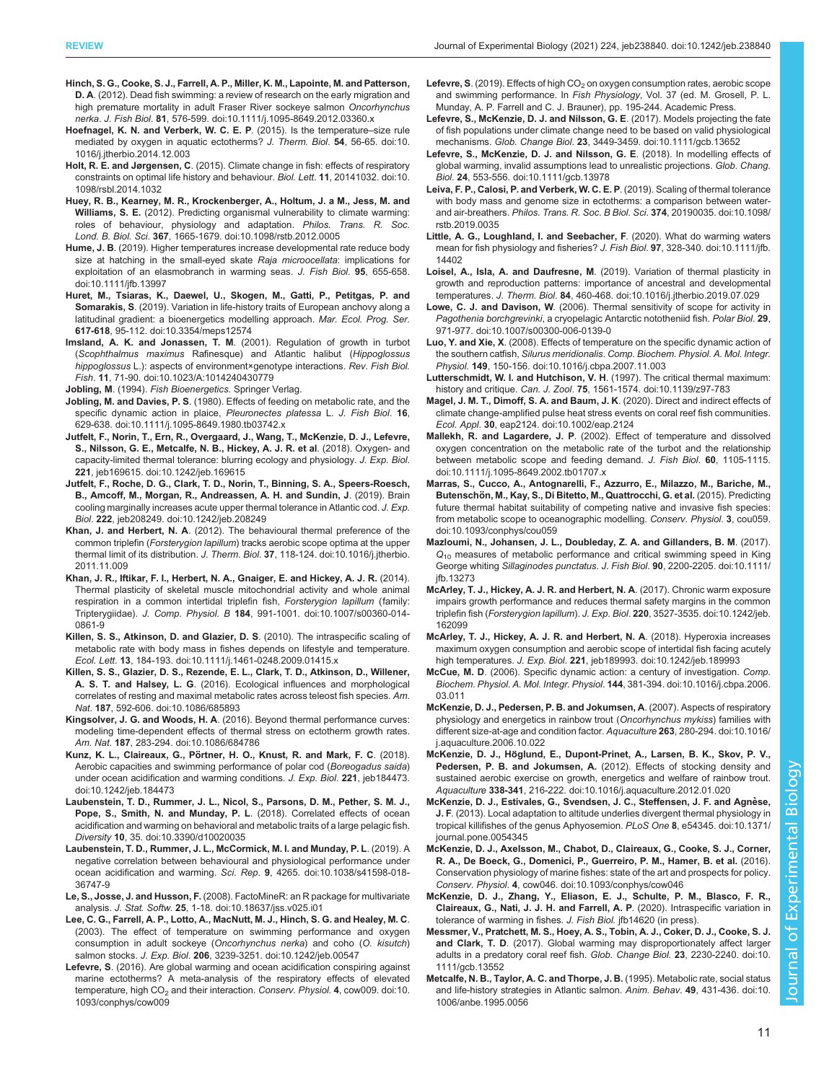- <span id="page-10-0"></span>[Hinch, S. G., Cooke, S. J., Farrell, A. P., Miller, K. M., Lapointe, M. and Patterson,](https://doi.org/10.1111/j.1095-8649.2012.03360.x) D. A[. \(2012\). Dead fish swimming: a review of research on the early migration and](https://doi.org/10.1111/j.1095-8649.2012.03360.x) [high premature mortality in adult Fraser River sockeye salmon](https://doi.org/10.1111/j.1095-8649.2012.03360.x) Oncorhynchus
- nerka. J. Fish Biol. 81[, 576-599. doi:10.1111/j.1095-8649.2012.03360.x](https://doi.org/10.1111/j.1095-8649.2012.03360.x) [Hoefnagel, K. N. and Verberk, W. C. E. P](https://doi.org/10.1016/j.jtherbio.2014.12.003). (2015). Is the temperature–size rule
- [mediated by oxygen in aquatic ectotherms?](https://doi.org/10.1016/j.jtherbio.2014.12.003) J. Therm. Biol. 54, 56-65. doi:10. [1016/j.jtherbio.2014.12.003](https://doi.org/10.1016/j.jtherbio.2014.12.003)
- Holt, R. E. and Jørgensen, C[. \(2015\). Climate change in fish: effects of respiratory](https://doi.org/10.1098/rsbl.2014.1032) [constraints on optimal life history and behaviour.](https://doi.org/10.1098/rsbl.2014.1032) Biol. Lett. 11, 20141032. doi:10. [1098/rsbl.2014.1032](https://doi.org/10.1098/rsbl.2014.1032)
- [Huey, R. B., Kearney, M. R., Krockenberger, A., Holtum, J. a M., Jess, M. and](https://doi.org/10.1098/rstb.2012.0005) Williams, S. E. [\(2012\). Predicting organismal vulnerability to climate warming:](https://doi.org/10.1098/rstb.2012.0005) [roles of behaviour, physiology and adaptation.](https://doi.org/10.1098/rstb.2012.0005) Philos. Trans. R. Soc. Lond. B. Biol. Sci. 367[, 1665-1679. doi:10.1098/rstb.2012.0005](https://doi.org/10.1098/rstb.2012.0005)
- Hume, J. B[. \(2019\). Higher temperatures increase developmental rate reduce body](https://doi.org/10.1111/jfb.13997) [size at hatching in the small-eyed skate](https://doi.org/10.1111/jfb.13997) Raja microocellata: implications for [exploitation of an elasmobranch in warming seas.](https://doi.org/10.1111/jfb.13997) J. Fish Biol. 95, 655-658. [doi:10.1111/jfb.13997](https://doi.org/10.1111/jfb.13997)
- [Huret, M., Tsiaras, K., Daewel, U., Skogen, M., Gatti, P., Petitgas, P. and](https://doi.org/10.3354/meps12574) Somarakis, S[. \(2019\). Variation in life-history traits of European anchovy along a](https://doi.org/10.3354/meps12574) [latitudinal gradient: a bioenergetics modelling approach.](https://doi.org/10.3354/meps12574) Mar. Ecol. Prog. Ser. 617-618[, 95-112. doi:10.3354/meps12574](https://doi.org/10.3354/meps12574)
- Imsland, A. K. and Jonassen, T. M[. \(2001\). Regulation of growth in turbot](https://doi.org/10.1023/A:1014240430779) (Scophthalmus maximus [Rafinesque\) and Atlantic halibut \(](https://doi.org/10.1023/A:1014240430779)Hippoglossus hippoglossus [L.\): aspects of environment×genotype interactions.](https://doi.org/10.1023/A:1014240430779) Rev. Fish Biol. Fish. 11[, 71-90. doi:10.1023/A:1014240430779](https://doi.org/10.1023/A:1014240430779)
- Jobling, M. (1994). Fish Bioenergetics. Springer Verlag.
- Jobling, M. and Davies, P. S[. \(1980\). Effects of feeding on metabolic rate, and the](https://doi.org/10.1111/j.1095-8649.1980.tb03742.x) [specific dynamic action in plaice,](https://doi.org/10.1111/j.1095-8649.1980.tb03742.x) Pleuronectes platessa L. J. Fish Biol. 16, [629-638. doi:10.1111/j.1095-8649.1980.tb03742.x](https://doi.org/10.1111/j.1095-8649.1980.tb03742.x)
- [Jutfelt, F., Norin, T., Ern, R., Overgaard, J., Wang, T., McKenzie, D. J., Lefevre,](https://doi.org/10.1242/jeb.169615) [S., Nilsson, G. E., Metcalfe, N. B., Hickey, A. J. R. et al](https://doi.org/10.1242/jeb.169615). (2018). Oxygen- and [capacity-limited thermal tolerance: blurring ecology and physiology.](https://doi.org/10.1242/jeb.169615) J. Exp. Biol. 221[, jeb169615. doi:10.1242/jeb.169615](https://doi.org/10.1242/jeb.169615)
- [Jutfelt, F., Roche, D. G., Clark, T. D., Norin, T., Binning, S. A., Speers-Roesch,](https://doi.org/10.1242/jeb.208249) [B., Amcoff, M., Morgan, R., Andreassen, A. H. and Sundin, J](https://doi.org/10.1242/jeb.208249). (2019). Brain [cooling marginally increases acute upper thermal tolerance in Atlantic cod.](https://doi.org/10.1242/jeb.208249) J. Exp. Biol. 222[, jeb208249. doi:10.1242/jeb.208249](https://doi.org/10.1242/jeb.208249)
- Khan, J. and Herbert, N. A[. \(2012\). The behavioural thermal preference of the](https://doi.org/10.1016/j.jtherbio.2011.11.009) common triplefin (Forsterygion lapillum[\) tracks aerobic scope optima at the upper](https://doi.org/10.1016/j.jtherbio.2011.11.009) thermal limit of its distribution. J. Therm. Biol. 37[, 118-124. doi:10.1016/j.jtherbio.](https://doi.org/10.1016/j.jtherbio.2011.11.009) [2011.11.009](https://doi.org/10.1016/j.jtherbio.2011.11.009)
- [Khan, J. R., Iftikar, F. I., Herbert, N. A., Gnaiger, E. and Hickey, A. J. R.](https://doi.org/10.1007/s00360-014-0861-9) (2014). [Thermal plasticity of skeletal muscle mitochondrial activity and whole animal](https://doi.org/10.1007/s00360-014-0861-9) [respiration in a common intertidal triplefin fish,](https://doi.org/10.1007/s00360-014-0861-9) Forsterygion lapillum (family: Tripterygiidae). J. Comp. Physiol. B 184[, 991-1001. doi:10.1007/s00360-014-](https://doi.org/10.1007/s00360-014-0861-9) [0861-9](https://doi.org/10.1007/s00360-014-0861-9)
- [Killen, S. S., Atkinson, D. and Glazier, D. S](https://doi.org/10.1111/j.1461-0248.2009.01415.x). (2010). The intraspecific scaling of [metabolic rate with body mass in fishes depends on lifestyle and temperature.](https://doi.org/10.1111/j.1461-0248.2009.01415.x) Ecol. Lett. 13[, 184-193. doi:10.1111/j.1461-0248.2009.01415.x](https://doi.org/10.1111/j.1461-0248.2009.01415.x)
- [Killen, S. S., Glazier, D. S., Rezende, E. L., Clark, T. D., Atkinson, D., Willener,](https://doi.org/10.1086/685893) A. S. T. and Halsey, L. G[. \(2016\). Ecological influences and morphological](https://doi.org/10.1086/685893) [correlates of resting and maximal metabolic rates across teleost fish species.](https://doi.org/10.1086/685893) Am. Nat. 187[, 592-606. doi:10.1086/685893](https://doi.org/10.1086/685893)
- Kingsolver, J. G. and Woods, H. A[. \(2016\). Beyond thermal performance curves:](https://doi.org/10.1086/684786) [modeling time-dependent effects of thermal stress on ectotherm growth rates.](https://doi.org/10.1086/684786) Am. Nat. 187[, 283-294. doi:10.1086/684786](https://doi.org/10.1086/684786)
- Kunz, K. L., Claireaux, G., Pö[rtner, H. O., Knust, R. and Mark, F. C](https://doi.org/10.1242/jeb.184473). (2018). [Aerobic capacities and swimming performance of polar cod \(](https://doi.org/10.1242/jeb.184473)Boreogadus saida) [under ocean acidification and warming conditions.](https://doi.org/10.1242/jeb.184473) J. Exp. Biol. 221, jeb184473. [doi:10.1242/jeb.184473](https://doi.org/10.1242/jeb.184473)
- [Laubenstein, T. D., Rummer, J. L., Nicol, S., Parsons, D. M., Pether, S. M. J.,](https://doi.org/10.3390/d10020035) [Pope, S., Smith, N. and Munday, P. L](https://doi.org/10.3390/d10020035). (2018). Correlated effects of ocean [acidification and warming on behavioral and metabolic traits of a large pelagic fish.](https://doi.org/10.3390/d10020035) Diversity 10[, 35. doi:10.3390/d10020035](https://doi.org/10.3390/d10020035)
- [Laubenstein, T. D., Rummer, J. L., McCormick, M. I. and Munday, P. L](https://doi.org/10.1038/s41598-018-36747-9). (2019). A [negative correlation between behavioural and physiological performance under](https://doi.org/10.1038/s41598-018-36747-9) [ocean acidification and warming.](https://doi.org/10.1038/s41598-018-36747-9) Sci. Rep. 9, 4265. doi:10.1038/s41598-018- [36747-9](https://doi.org/10.1038/s41598-018-36747-9)
- Le, S., Josse, J. and Husson, F. [\(2008\). FactoMineR: an R package for multivariate](https://doi.org/10.18637/jss.v025.i01) analysis. J. Stat. Softw. 25[, 1-18. doi:10.18637/jss.v025.i01](https://doi.org/10.18637/jss.v025.i01)
- [Lee, C. G., Farrell, A. P., Lotto, A., MacNutt, M. J., Hinch, S. G. and Healey, M. C](https://doi.org/10.1242/jeb.00547). [\(2003\). The effect of temperature on swimming performance and oxygen](https://doi.org/10.1242/jeb.00547) [consumption in adult sockeye \(](https://doi.org/10.1242/jeb.00547)Oncorhynchus nerka) and coho (O. kisutch) salmon stocks. J. Exp. Biol. 206[, 3239-3251. doi:10.1242/jeb.00547](https://doi.org/10.1242/jeb.00547)
- Lefevre, S[. \(2016\). Are global warming and ocean acidification conspiring against](https://doi.org/10.1093/conphys/cow009) [marine ectotherms? A meta-analysis of the respiratory effects of elevated](https://doi.org/10.1093/conphys/cow009) temperature, high CO<sub>2</sub> [and their interaction.](https://doi.org/10.1093/conphys/cow009) Conserv. Physiol. 4, cow009. doi:10. [1093/conphys/cow009](https://doi.org/10.1093/conphys/cow009)
- Lefevre, S. (2019). Effects of high  $CO<sub>2</sub>$  on oxygen consumption rates, aerobic scope and swimming performance. In Fish Physiology, Vol. 37 (ed. M. Grosell, P. L. Munday, A. P. Farrell and C. J. Brauner), pp. 195-244. Academic Press.
- [Lefevre, S., McKenzie, D. J. and Nilsson, G. E](https://doi.org/10.1111/gcb.13652). (2017). Models projecting the fate [of fish populations under climate change need to be based on valid physiological](https://doi.org/10.1111/gcb.13652) mechanisms. Glob. Change Biol. 23[, 3449-3459. doi:10.1111/gcb.13652](https://doi.org/10.1111/gcb.13652)
- [Lefevre, S., McKenzie, D. J. and Nilsson, G. E](https://doi.org/10.1111/gcb.13978). (2018). In modelling effects of [global warming, invalid assumptions lead to unrealistic projections.](https://doi.org/10.1111/gcb.13978) Glob. Chang. Biol. 24[, 553-556. doi:10.1111/gcb.13978](https://doi.org/10.1111/gcb.13978)
- [Leiva, F. P., Calosi, P. and Verberk, W. C. E. P](https://doi.org/10.1098/rstb.2019.0035). (2019). Scaling of thermal tolerance [with body mass and genome size in ectotherms: a comparison between water](https://doi.org/10.1098/rstb.2019.0035)and air-breathers. [Philos. Trans. R. Soc. B Biol. Sci](https://doi.org/10.1098/rstb.2019.0035). 374, 20190035. doi:10.1098/ [rstb.2019.0035](https://doi.org/10.1098/rstb.2019.0035)
- [Little, A. G., Loughland, I. and Seebacher, F](https://doi.org/10.1111/jfb.14402). (2020). What do warming waters [mean for fish physiology and fisheries?](https://doi.org/10.1111/jfb.14402) J. Fish Biol. 97, 328-340. doi:10.1111/jfb. [14402](https://doi.org/10.1111/jfb.14402)
- Loisel, A., Isla, A. and Daufresne, M[. \(2019\). Variation of thermal plasticity in](https://doi.org/10.1016/j.jtherbio.2019.07.029) [growth and reproduction patterns: importance of ancestral and developmental](https://doi.org/10.1016/j.jtherbio.2019.07.029) temperatures. J. Therm. Biol. 84[, 460-468. doi:10.1016/j.jtherbio.2019.07.029](https://doi.org/10.1016/j.jtherbio.2019.07.029)
- Lowe, C. J. and Davison, W[. \(2006\). Thermal sensitivity of scope for activity in](https://doi.org/10.1007/s00300-006-0139-0) Pagothenia borchgrevinki[, a cryopelagic Antarctic nototheniid fish.](https://doi.org/10.1007/s00300-006-0139-0) Polar Biol. 29, [971-977. doi:10.1007/s00300-006-0139-0](https://doi.org/10.1007/s00300-006-0139-0)
- Luo, Y. and Xie, X[. \(2008\). Effects of temperature on the specific dynamic action of](https://doi.org/10.1016/j.cbpa.2007.11.003) the southern catfish, Silurus meridionalis. [Comp. Biochem. Physiol. A. Mol. Integr.](https://doi.org/10.1016/j.cbpa.2007.11.003) Physiol. 149[, 150-156. doi:10.1016/j.cbpa.2007.11.003](https://doi.org/10.1016/j.cbpa.2007.11.003)
- [Lutterschmidt, W. I. and Hutchison, V. H](https://doi.org/10.1139/z97-783). (1997). The critical thermal maximum: history and critique. Can. J. Zool. 75[, 1561-1574. doi:10.1139/z97-783](https://doi.org/10.1139/z97-783)
- [Magel, J. M. T., Dimoff, S. A. and Baum, J. K](https://doi.org/10.1002/eap.2124). (2020). Direct and indirect effects of [climate change-amplified pulse heat stress events on coral reef fish communities.](https://doi.org/10.1002/eap.2124) Ecol. Appl. 30[, eap2124. doi:10.1002/eap.2124](https://doi.org/10.1002/eap.2124)
- Mallekh, R. and Lagardere, J. P[. \(2002\). Effect of temperature and dissolved](https://doi.org/10.1111/j.1095-8649.2002.tb01707.x) [oxygen concentration on the metabolic rate of the turbot and the relationship](https://doi.org/10.1111/j.1095-8649.2002.tb01707.x) [between metabolic scope and feeding demand.](https://doi.org/10.1111/j.1095-8649.2002.tb01707.x) J. Fish Biol. 60, 1105-1115. [doi:10.1111/j.1095-8649.2002.tb01707.x](https://doi.org/10.1111/j.1095-8649.2002.tb01707.x)
- [Marras, S., Cucco, A., Antognarelli, F., Azzurro, E., Milazzo, M., Bariche, M.,](https://doi.org/10.1093/conphys/cou059) Butenschö[n, M., Kay, S., Di Bitetto, M., Quattrocchi, G. et al.](https://doi.org/10.1093/conphys/cou059) (2015). Predicting [future thermal habitat suitability of competing native and invasive fish species:](https://doi.org/10.1093/conphys/cou059) [from metabolic scope to oceanographic modelling.](https://doi.org/10.1093/conphys/cou059) Conserv. Physiol. 3, cou059. [doi:10.1093/conphys/cou059](https://doi.org/10.1093/conphys/cou059)
- [Mazloumi, N., Johansen, J. L., Doubleday, Z. A. and Gillanders, B. M](https://doi.org/10.1111/jfb.13273). (2017).  $Q_{10}$  $Q_{10}$  [measures of metabolic performance and critical swimming speed in King](https://doi.org/10.1111/jfb.13273) George whiting Sillaginodes punctatus. J. Fish Biol. 90[, 2200-2205. doi:10.1111/](https://doi.org/10.1111/jfb.13273) [jfb.13273](https://doi.org/10.1111/jfb.13273)
- [McArley, T. J., Hickey, A. J. R. and Herbert, N. A](https://doi.org/10.1242/jeb.162099). (2017). Chronic warm exposure [impairs growth performance and reduces thermal safety margins in the common](https://doi.org/10.1242/jeb.162099) triplefin fish (Forsterygion lapillum). J. Exp. Biol. 220[, 3527-3535. doi:10.1242/jeb.](https://doi.org/10.1242/jeb.162099) [162099](https://doi.org/10.1242/jeb.162099)
- [McArley, T. J., Hickey, A. J. R. and Herbert, N. A](https://doi.org/10.1242/jeb.189993). (2018). Hyperoxia increases [maximum oxygen consumption and aerobic scope of intertidal fish facing acutely](https://doi.org/10.1242/jeb.189993) high temperatures. J. Exp. Biol. 221[, jeb189993. doi:10.1242/jeb.189993](https://doi.org/10.1242/jeb.189993)
- McCue, M. D[. \(2006\). Specific dynamic action: a century of investigation.](https://doi.org/10.1016/j.cbpa.2006.03.011) Comp. [Biochem. Physiol. A. Mol. Integr. Physiol](https://doi.org/10.1016/j.cbpa.2006.03.011). 144, 381-394. doi:10.1016/j.cbpa.2006. [03.011](https://doi.org/10.1016/j.cbpa.2006.03.011)
- [McKenzie, D. J., Pedersen, P. B. and Jokumsen, A](https://doi.org/10.1016/j.aquaculture.2006.10.022). (2007). Aspects of respiratory [physiology and energetics in rainbow trout \(](https://doi.org/10.1016/j.aquaculture.2006.10.022)Oncorhynchus mykiss) families with [different size-at-age and condition factor.](https://doi.org/10.1016/j.aquaculture.2006.10.022) Aquaculture 263, 280-294. doi:10.1016/ [j.aquaculture.2006.10.022](https://doi.org/10.1016/j.aquaculture.2006.10.022)
- McKenzie, D. J., Hö[glund, E., Dupont-Prinet, A., Larsen, B. K., Skov, P. V.,](https://doi.org/10.1016/j.aquaculture.2012.01.020) Pedersen, P. B. and Jokumsen, A. [\(2012\). Effects of stocking density and](https://doi.org/10.1016/j.aquaculture.2012.01.020) [sustained aerobic exercise on growth, energetics and welfare of rainbow trout.](https://doi.org/10.1016/j.aquaculture.2012.01.020) Aquaculture 338-341[, 216-222. doi:10.1016/j.aquaculture.2012.01.020](https://doi.org/10.1016/j.aquaculture.2012.01.020)
- McKenzie, D. J., Estivales, G., Svendsen, J. C., Steffensen, J. F. and Agnèse, J. F[. \(2013\). Local adaptation to altitude underlies divergent thermal physiology in](https://doi.org/10.1371/journal.pone.0054345) [tropical killifishes of the genus Aphyosemion.](https://doi.org/10.1371/journal.pone.0054345) PLoS One 8, e54345. doi:10.1371/ [journal.pone.0054345](https://doi.org/10.1371/journal.pone.0054345)
- [McKenzie, D. J., Axelsson, M., Chabot, D., Claireaux, G., Cooke, S. J., Corner,](https://doi.org/10.1093/conphys/cow046) [R. A., De Boeck, G., Domenici, P., Guerreiro, P. M., Hamer, B. et al.](https://doi.org/10.1093/conphys/cow046) (2016). [Conservation physiology of marine fishes: state of the art and prospects for policy.](https://doi.org/10.1093/conphys/cow046) Conserv. Physiol. 4[, cow046. doi:10.1093/conphys/cow046](https://doi.org/10.1093/conphys/cow046)
- McKenzie, D. J., Zhang, Y., Eliason, E. J., Schulte, P. M., Blasco, F. R., Claireaux, G., Nati, J. J. H. and Farrell, A. P. (2020). Intraspecific variation in tolerance of warming in fishes. J. Fish Biol. jfb14620 (in press).
- [Messmer, V., Pratchett, M. S., Hoey, A. S., Tobin, A. J., Coker, D. J., Cooke, S. J.](https://doi.org/10.1111/gcb.13552) and Clark, T. D[. \(2017\). Global warming may disproportionately affect larger](https://doi.org/10.1111/gcb.13552) [adults in a predatory coral reef fish.](https://doi.org/10.1111/gcb.13552) Glob. Change Biol. 23, 2230-2240. doi:10. [1111/gcb.13552](https://doi.org/10.1111/gcb.13552)
- [Metcalfe, N. B., Taylor, A. C. and Thorpe, J. B.](https://doi.org/10.1006/anbe.1995.0056) (1995). Metabolic rate, social status [and life-history strategies in Atlantic salmon.](https://doi.org/10.1006/anbe.1995.0056) Anim. Behav. 49, 431-436. doi:10. [1006/anbe.1995.0056](https://doi.org/10.1006/anbe.1995.0056)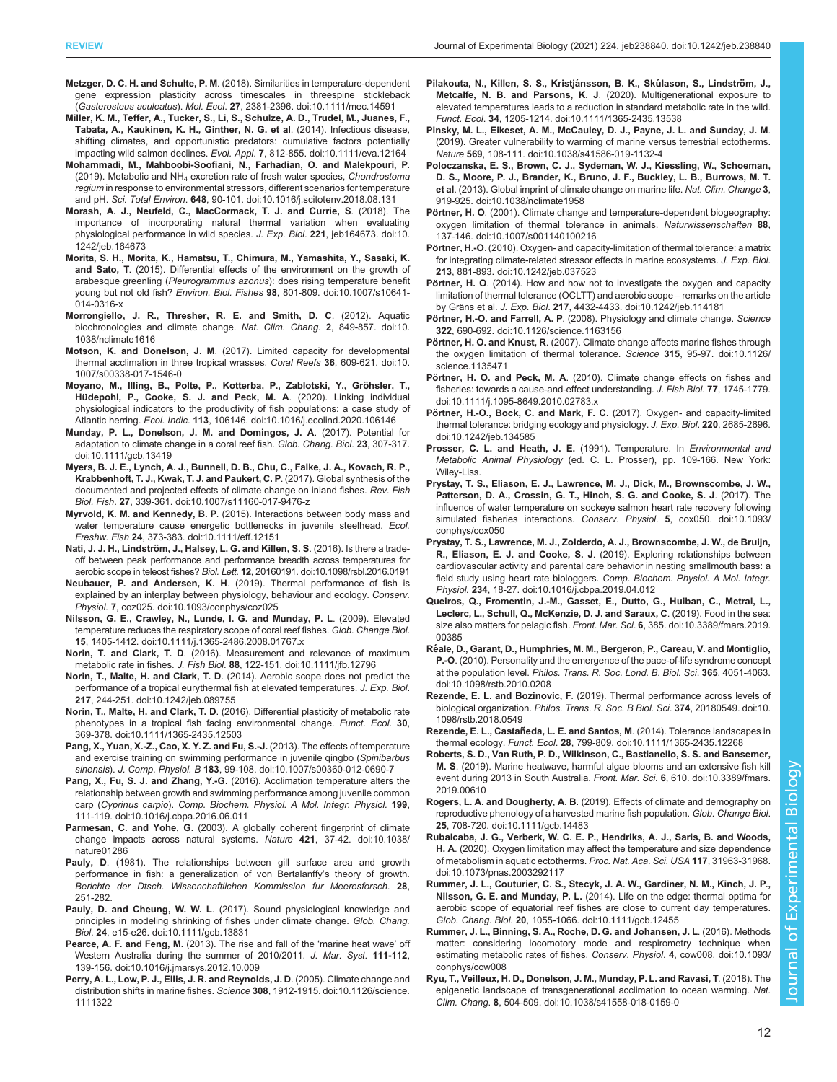- <span id="page-11-0"></span>Metzger, D. C. H. and Schulte, P. M[. \(2018\). Similarities in temperature-dependent](https://doi.org/10.1111/mec.14591) [gene expression plasticity across timescales in threespine stickleback](https://doi.org/10.1111/mec.14591) (Gasterosteus aculeatus). Mol. Ecol. 27[, 2381-2396. doi:10.1111/mec.14591](https://doi.org/10.1111/mec.14591)
- [Miller, K. M., Teffer, A., Tucker, S., Li, S., Schulze, A. D., Trudel, M., Juanes, F.,](https://doi.org/10.1111/eva.12164) [Tabata, A., Kaukinen, K. H., Ginther, N. G. et al](https://doi.org/10.1111/eva.12164). (2014). Infectious disease, [shifting climates, and opportunistic predators: cumulative factors potentially](https://doi.org/10.1111/eva.12164) impacting wild salmon declines. Evol. Appl. 7[, 812-855. doi:10.1111/eva.12164](https://doi.org/10.1111/eva.12164)
- [Mohammadi, M., Mahboobi-Soofiani, N., Farhadian, O. and Malekpouri, P](https://doi.org/10.1016/j.scitotenv.2018.08.131). (2019). Metabolic and NH<sub>4</sub> [excretion rate of fresh water species,](https://doi.org/10.1016/j.scitotenv.2018.08.131) Chondrostoma regium [in response to environmental stressors, different scenarios for temperature](https://doi.org/10.1016/j.scitotenv.2018.08.131) and pH. Sci. Total Environ. 648[, 90-101. doi:10.1016/j.scitotenv.2018.08.131](https://doi.org/10.1016/j.scitotenv.2018.08.131)
- [Morash, A. J., Neufeld, C., MacCormack, T. J. and Currie, S](https://doi.org/10.1242/jeb.164673). (2018). The [importance of incorporating natural thermal variation when evaluating](https://doi.org/10.1242/jeb.164673) [physiological performance in wild species.](https://doi.org/10.1242/jeb.164673) J. Exp. Biol. 221, jeb164673. doi:10. [1242/jeb.164673](https://doi.org/10.1242/jeb.164673)
- [Morita, S. H., Morita, K., Hamatsu, T., Chimura, M., Yamashita, Y., Sasaki, K.](https://doi.org/10.1007/s10641-014-0316-x) and Sato, T[. \(2015\). Differential effects of the environment on the growth of](https://doi.org/10.1007/s10641-014-0316-x) arabesque greenling (Pleurogrammus azonus[\): does rising temperature benefit](https://doi.org/10.1007/s10641-014-0316-x) young but not old fish? Environ. Biol. Fishes 98[, 801-809. doi:10.1007/s10641-](https://doi.org/10.1007/s10641-014-0316-x) [014-0316-x](https://doi.org/10.1007/s10641-014-0316-x)
- [Morrongiello, J. R., Thresher, R. E. and Smith, D. C](https://doi.org/10.1038/nclimate1616). (2012). Aquatic [biochronologies and climate change.](https://doi.org/10.1038/nclimate1616) Nat. Clim. Chang. 2, 849-857. doi:10. [1038/nclimate1616](https://doi.org/10.1038/nclimate1616)
- Motson, K. and Donelson, J. M[. \(2017\). Limited capacity for developmental](https://doi.org/10.1007/s00338-017-1546-0) [thermal acclimation in three tropical wrasses.](https://doi.org/10.1007/s00338-017-1546-0) Coral Reefs 36, 609-621. doi:10. [1007/s00338-017-1546-0](https://doi.org/10.1007/s00338-017-1546-0)
- Moyano, M., Illing, B., Polte, P., Kotterba, P., Zablotski, Y., Gröhsler, T., Hü[depohl, P., Cooke, S. J. and Peck, M. A](https://doi.org/10.1016/j.ecolind.2020.106146). (2020). Linking individual [physiological indicators to the productivity of fish populations: a case study of](https://doi.org/10.1016/j.ecolind.2020.106146) Atlantic herring. Ecol. Indic. 113[, 106146. doi:10.1016/j.ecolind.2020.106146](https://doi.org/10.1016/j.ecolind.2020.106146)
- [Munday, P. L., Donelson, J. M. and Domingos, J. A](https://doi.org/10.1111/gcb.13419). (2017). Potential for [adaptation to climate change in a coral reef fish.](https://doi.org/10.1111/gcb.13419) Glob. Chang. Biol. 23, 307-317. [doi:10.1111/gcb.13419](https://doi.org/10.1111/gcb.13419)
- [Myers, B. J. E., Lynch, A. J., Bunnell, D. B., Chu, C., Falke, J. A., Kovach, R. P.,](https://doi.org/10.1007/s11160-017-9476-z) [Krabbenhoft, T. J., Kwak, T. J. and Paukert, C. P](https://doi.org/10.1007/s11160-017-9476-z). (2017). Global synthesis of the [documented and projected effects of climate change on inland fishes.](https://doi.org/10.1007/s11160-017-9476-z) Rev. Fish Biol. Fish. 27[, 339-361. doi:10.1007/s11160-017-9476-z](https://doi.org/10.1007/s11160-017-9476-z)
- Myrvold, K. M. and Kennedy, B. P[. \(2015\). Interactions between body mass and](https://doi.org/10.1111/eff.12151) [water temperature cause energetic bottlenecks in juvenile steelhead.](https://doi.org/10.1111/eff.12151) Ecol. Freshw. Fish 24[, 373-383. doi:10.1111/eff.12151](https://doi.org/10.1111/eff.12151)
- Nati, J. J. H., Lindströ[m, J., Halsey, L. G. and Killen, S. S](https://doi.org/10.1098/rsbl.2016.0191). (2016). Is there a trade[off between peak performance and performance breadth across temperatures for](https://doi.org/10.1098/rsbl.2016.0191) aerobic scope in teleost fishes? Biol. Lett. 12[, 20160191. doi:10.1098/rsbl.2016.0191](https://doi.org/10.1098/rsbl.2016.0191)
- Neubauer, P. and Andersen, K. H[. \(2019\). Thermal performance of fish is](https://doi.org/10.1093/conphys/coz025) [explained by an interplay between physiology, behaviour and ecology.](https://doi.org/10.1093/conphys/coz025) Conserv. Physiol. 7[, coz025. doi:10.1093/conphys/coz025](https://doi.org/10.1093/conphys/coz025)
- [Nilsson, G. E., Crawley, N., Lunde, I. G. and Munday, P. L](https://doi.org/10.1111/j.1365-2486.2008.01767.x). (2009). Elevated [temperature reduces the respiratory scope of coral reef fishes.](https://doi.org/10.1111/j.1365-2486.2008.01767.x) Glob. Change Biol. 15[, 1405-1412. doi:10.1111/j.1365-2486.2008.01767.x](https://doi.org/10.1111/j.1365-2486.2008.01767.x)
- Norin, T. and Clark, T. D[. \(2016\). Measurement and relevance of maximum](https://doi.org/10.1111/jfb.12796) metabolic rate in fishes. J. Fish Biol. 88[, 122-151. doi:10.1111/jfb.12796](https://doi.org/10.1111/jfb.12796)
- Norin, T., Malte, H. and Clark, T. D[. \(2014\). Aerobic scope does not predict the](https://doi.org/10.1242/jeb.089755) [performance of a tropical eurythermal fish at elevated temperatures.](https://doi.org/10.1242/jeb.089755) J. Exp. Biol. 217[, 244-251. doi:10.1242/jeb.089755](https://doi.org/10.1242/jeb.089755)
- Norin, T., Malte, H. and Clark, T. D[. \(2016\). Differential plasticity of metabolic rate](https://doi.org/10.1111/1365-2435.12503) [phenotypes in a tropical fish facing environmental change.](https://doi.org/10.1111/1365-2435.12503) Funct. Ecol. 30, [369-378. doi:10.1111/1365-2435.12503](https://doi.org/10.1111/1365-2435.12503)
- [Pang, X., Yuan, X.-Z., Cao, X. Y. Z. and Fu, S.-J.](https://doi.org/10.1007/s00360-012-0690-7) (2013). The effects of temperature [and exercise training on swimming performance in juvenile qingbo \(](https://doi.org/10.1007/s00360-012-0690-7)Spinibarbus sinensis). J. Comp. Physiol. B 183[, 99-108. doi:10.1007/s00360-012-0690-7](https://doi.org/10.1007/s00360-012-0690-7)
- Pang, X., Fu, S. J. and Zhang, Y.-G[. \(2016\). Acclimation temperature alters the](https://doi.org/10.1016/j.cbpa.2016.06.011) [relationship between growth and swimming performance among juvenile common](https://doi.org/10.1016/j.cbpa.2016.06.011) carp (Cyprinus carpio). [Comp. Biochem. Physiol. A Mol. Integr. Physiol.](https://doi.org/10.1016/j.cbpa.2016.06.011) 199, [111-119. doi:10.1016/j.cbpa.2016.06.011](https://doi.org/10.1016/j.cbpa.2016.06.011)
- Parmesan, C. and Yohe, G[. \(2003\). A globally coherent fingerprint of climate](https://doi.org/10.1038/nature01286) [change impacts across natural systems.](https://doi.org/10.1038/nature01286) Nature 421, 37-42. doi:10.1038/ [nature01286](https://doi.org/10.1038/nature01286)
- Pauly, D. (1981). The relationships between gill surface area and growth performance in fish: a generalization of von Bertalanffy's theory of growth. Berichte der Dtsch. Wissenchaftlichen Kommission fur Meeresforsch. 28, 251-282.
- Pauly, D. and Cheung, W. W. L[. \(2017\). Sound physiological knowledge and](https://doi.org/10.1111/gcb.13831) [principles in modeling shrinking of fishes under climate change.](https://doi.org/10.1111/gcb.13831) Glob. Chang. Biol. 24[, e15-e26. doi:10.1111/gcb.13831](https://doi.org/10.1111/gcb.13831)
- Pearce, A. F. and Feng, M[. \(2013\). The rise and fall of the](https://doi.org/10.1016/j.jmarsys.2012.10.009) 'marine heat wave' off [Western Australia during the summer of 2010/2011.](https://doi.org/10.1016/j.jmarsys.2012.10.009) J. Mar. Syst. 111-112, [139-156. doi:10.1016/j.jmarsys.2012.10.009](https://doi.org/10.1016/j.jmarsys.2012.10.009)
- [Perry, A. L., Low, P. J., Ellis, J. R. and Reynolds, J. D](https://doi.org/10.1126/science.1111322). (2005). Climate change and distribution shifts in marine fishes. Science 308[, 1912-1915. doi:10.1126/science.](https://doi.org/10.1126/science.1111322) [1111322](https://doi.org/10.1126/science.1111322)
- Pilakouta, N., Killen, S. S., Kristjánsson, B. K., Skúlason, S., Lindström, J., Metcalfe, N. B. and Parsons, K. J[. \(2020\). Multigenerational exposure to](https://doi.org/10.1111/1365-2435.13538) [elevated temperatures leads to a reduction in standard metabolic rate in the wild.](https://doi.org/10.1111/1365-2435.13538) Funct. Ecol. 34[, 1205-1214. doi:10.1111/1365-2435.13538](https://doi.org/10.1111/1365-2435.13538)
- [Pinsky, M. L., Eikeset, A. M., McCauley, D. J., Payne, J. L. and Sunday, J. M](https://doi.org/10.1038/s41586-019-1132-4). [\(2019\). Greater vulnerability to warming of marine versus terrestrial ectotherms.](https://doi.org/10.1038/s41586-019-1132-4) Nature 569[, 108-111. doi:10.1038/s41586-019-1132-4](https://doi.org/10.1038/s41586-019-1132-4)
- [Poloczanska, E. S., Brown, C. J., Sydeman, W. J., Kiessling, W., Schoeman,](https://doi.org/10.1038/nclimate1958) [D. S., Moore, P. J., Brander, K., Bruno, J. F., Buckley, L. B., Burrows, M. T.](https://doi.org/10.1038/nclimate1958) et al[. \(2013\). Global imprint of climate change on marine life.](https://doi.org/10.1038/nclimate1958) Nat. Clim. Change 3, [919-925. doi:10.1038/nclimate1958](https://doi.org/10.1038/nclimate1958)
- Pörtner, H. O[. \(2001\). Climate change and temperature-dependent biogeography:](https://doi.org/10.1007/s001140100216) [oxygen limitation of thermal tolerance in animals.](https://doi.org/10.1007/s001140100216) Naturwissenschaften 88, [137-146. doi:10.1007/s001140100216](https://doi.org/10.1007/s001140100216)
- Pörtner, H.-O[. \(2010\). Oxygen- and capacity-limitation of thermal tolerance: a matrix](https://doi.org/10.1242/jeb.037523) [for integrating climate-related stressor effects in marine ecosystems.](https://doi.org/10.1242/jeb.037523) J. Exp. Biol. 213[, 881-893. doi:10.1242/jeb.037523](https://doi.org/10.1242/jeb.037523)
- Pörtner, H. O[. \(2014\). How and how not to investigate the oxygen and capacity](https://doi.org/10.1242/jeb.114181) [limitation of thermal tolerance \(OCLTT\) and aerobic scope](https://doi.org/10.1242/jeb.114181) – remarks on the article by Gräns et al. J. Exp. Biol. 217[, 4432-4433. doi:10.1242/jeb.114181](https://doi.org/10.1242/jeb.114181)
- Pörtner, H.-O. and Farrell, A. P[. \(2008\). Physiology and climate change.](https://doi.org/10.1126/science.1163156) Science 322[, 690-692. doi:10.1126/science.1163156](https://doi.org/10.1126/science.1163156)
- Pörtner, H. O. and Knust, R[. \(2007\). Climate change affects marine fishes through](https://doi.org/10.1126/science.1135471) [the oxygen limitation of thermal tolerance.](https://doi.org/10.1126/science.1135471) Science 315, 95-97. doi:10.1126/ [science.1135471](https://doi.org/10.1126/science.1135471)
- Pörtner, H. O. and Peck, M. A[. \(2010\). Climate change effects on fishes and](https://doi.org/10.1111/j.1095-8649.2010.02783.x) [fisheries: towards a cause-and-effect understanding.](https://doi.org/10.1111/j.1095-8649.2010.02783.x) J. Fish Biol. 77, 1745-1779. [doi:10.1111/j.1095-8649.2010.02783.x](https://doi.org/10.1111/j.1095-8649.2010.02783.x)
- Pö[rtner, H.-O., Bock, C. and Mark, F. C](https://doi.org/10.1242/jeb.134585). (2017). Oxygen- and capacity-limited [thermal tolerance: bridging ecology and physiology.](https://doi.org/10.1242/jeb.134585) J. Exp. Biol. 220, 2685-2696. [doi:10.1242/jeb.134585](https://doi.org/10.1242/jeb.134585)
- Prosser, C. L. and Heath, J. E. (1991). Temperature. In Environmental and Metabolic Animal Physiology (ed. C. L. Prosser), pp. 109-166. New York: Wiley-Liss.
- [Prystay, T. S., Eliason, E. J., Lawrence, M. J., Dick, M., Brownscombe, J. W.,](https://doi.org/10.1093/conphys/cox050) [Patterson, D. A., Crossin, G. T., Hinch, S. G. and Cooke, S. J](https://doi.org/10.1093/conphys/cox050). (2017). The [influence of water temperature on sockeye salmon heart rate recovery following](https://doi.org/10.1093/conphys/cox050) [simulated fisheries interactions.](https://doi.org/10.1093/conphys/cox050) Conserv. Physiol. 5, cox050. doi:10.1093/ [conphys/cox050](https://doi.org/10.1093/conphys/cox050)
- [Prystay, T. S., Lawrence, M. J., Zolderdo, A. J., Brownscombe, J. W., de Bruijn,](https://doi.org/10.1016/j.cbpa.2019.04.012) R., Eliason, E. J. and Cooke, S. J[. \(2019\). Exploring relationships between](https://doi.org/10.1016/j.cbpa.2019.04.012) [cardiovascular activity and parental care behavior in nesting smallmouth bass: a](https://doi.org/10.1016/j.cbpa.2019.04.012) field study using heart rate biologgers. [Comp. Biochem. Physiol. A Mol. Integr.](https://doi.org/10.1016/j.cbpa.2019.04.012) Physiol. 234[, 18-27. doi:10.1016/j.cbpa.2019.04.012](https://doi.org/10.1016/j.cbpa.2019.04.012)
- [Queiros, Q., Fromentin, J.-M., Gasset, E., Dutto, G., Huiban, C., Metral, L.,](https://doi.org/10.3389/fmars.2019.00385) [Leclerc, L., Schull, Q., McKenzie, D. J. and Saraux, C](https://doi.org/10.3389/fmars.2019.00385). (2019). Food in the sea: [size also matters for pelagic fish.](https://doi.org/10.3389/fmars.2019.00385) Front. Mar. Sci. 6, 385. doi:10.3389/fmars.2019. [00385](https://doi.org/10.3389/fmars.2019.00385)
- Ré[ale, D., Garant, D., Humphries, M. M., Bergeron, P., Careau, V. and Montiglio,](https://doi.org/10.1098/rstb.2010.0208) P.-O[. \(2010\). Personality and the emergence of the pace-of-life syndrome concept](https://doi.org/10.1098/rstb.2010.0208) at the population level. [Philos. Trans. R. Soc. Lond. B. Biol. Sci](https://doi.org/10.1098/rstb.2010.0208). 365, 4051-4063. [doi:10.1098/rstb.2010.0208](https://doi.org/10.1098/rstb.2010.0208)
- Rezende, E. L. and Bozinovic, F[. \(2019\). Thermal performance across levels of](https://doi.org/10.1098/rstb.2018.0549) biological organization. [Philos. Trans. R. Soc. B Biol. Sci](https://doi.org/10.1098/rstb.2018.0549). 374, 20180549. doi:10. [1098/rstb.2018.0549](https://doi.org/10.1098/rstb.2018.0549)
- Rezende, E. L., Castañeda, L. E. and Santos, M[. \(2014\). Tolerance landscapes in](https://doi.org/10.1111/1365-2435.12268) thermal ecology. Funct. Ecol. 28[, 799-809. doi:10.1111/1365-2435.12268](https://doi.org/10.1111/1365-2435.12268)
- [Roberts, S. D., Van Ruth, P. D., Wilkinson, C., Bastianello, S. S. and Bansemer,](https://doi.org/10.3389/fmars.2019.00610) M. S[. \(2019\). Marine heatwave, harmful algae blooms and an extensive fish kill](https://doi.org/10.3389/fmars.2019.00610) [event during 2013 in South Australia.](https://doi.org/10.3389/fmars.2019.00610) Front. Mar. Sci. 6, 610, doi:10.3389/fmars. [2019.00610](https://doi.org/10.3389/fmars.2019.00610)
- Rogers, L. A. and Dougherty, A. B[. \(2019\). Effects of climate and demography on](https://doi.org/10.1111/gcb.14483) [reproductive phenology of a harvested marine fish population.](https://doi.org/10.1111/gcb.14483) Glob. Change Biol. 25[, 708-720. doi:10.1111/gcb.14483](https://doi.org/10.1111/gcb.14483)
- [Rubalcaba, J. G., Verberk, W. C. E. P., Hendriks, A. J., Saris, B. and Woods,](https://doi.org/10.1073/pnas.2003292117) H. A[. \(2020\). Oxygen limitation may affect the temperature and size dependence](https://doi.org/10.1073/pnas.2003292117) [of metabolism in aquatic ectotherms.](https://doi.org/10.1073/pnas.2003292117) Proc. Nat. Aca. Sci. USA 117, 31963-31968. [doi:10.1073/pnas.2003292117](https://doi.org/10.1073/pnas.2003292117)
- [Rummer, J. L., Couturier, C. S., Stecyk, J. A. W., Gardiner, N. M., Kinch, J. P.,](https://doi.org/10.1111/gcb.12455) Nilsson, G. E. and Munday, P. L. [\(2014\). Life on the edge: thermal optima for](https://doi.org/10.1111/gcb.12455) [aerobic scope of equatorial reef fishes are close to current day temperatures.](https://doi.org/10.1111/gcb.12455) Glob. Chang. Biol. 20[, 1055-1066. doi:10.1111/gcb.12455](https://doi.org/10.1111/gcb.12455)
- [Rummer, J. L., Binning, S. A., Roche, D. G. and Johansen, J. L](https://doi.org/10.1093/conphys/cow008). (2016). Methods [matter: considering locomotory mode and respirometry technique when](https://doi.org/10.1093/conphys/cow008) [estimating metabolic rates of fishes.](https://doi.org/10.1093/conphys/cow008) Conserv. Physiol. 4, cow008. doi:10.1093/ [conphys/cow008](https://doi.org/10.1093/conphys/cow008)
- [Ryu, T., Veilleux, H. D., Donelson, J. M., Munday, P. L. and Ravasi, T](https://doi.org/10.1038/s41558-018-0159-0). (2018). The [epigenetic landscape of transgenerational acclimation to ocean warming.](https://doi.org/10.1038/s41558-018-0159-0) Nat. Clim. Chang. 8[, 504-509. doi:10.1038/s41558-018-0159-0](https://doi.org/10.1038/s41558-018-0159-0)